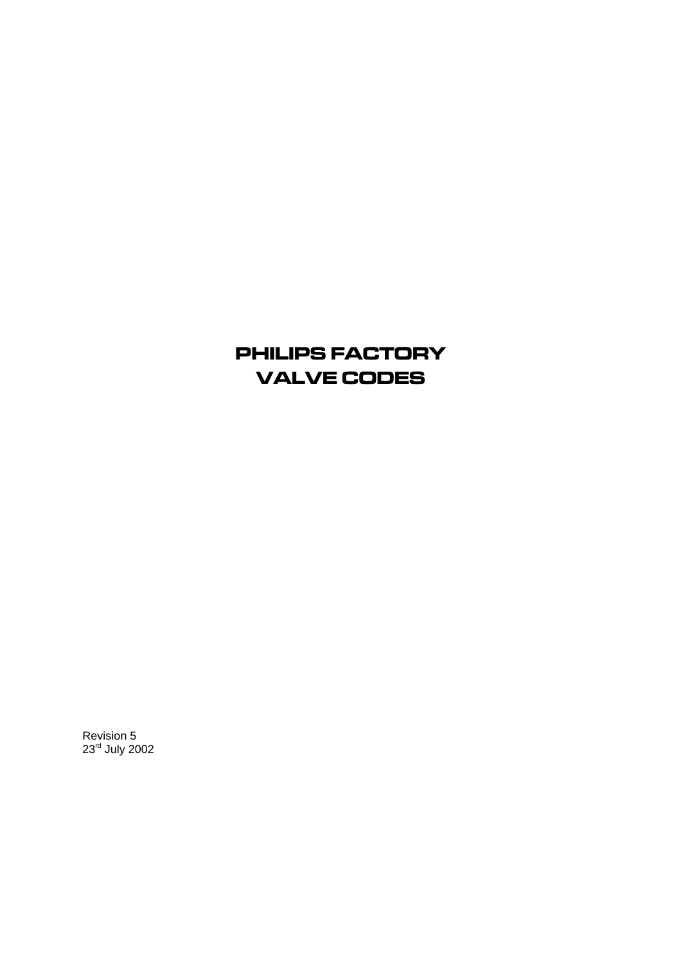# PHILIPS FACTORY VALVE CODES

Revision 5 23<sup>rd</sup> July 2002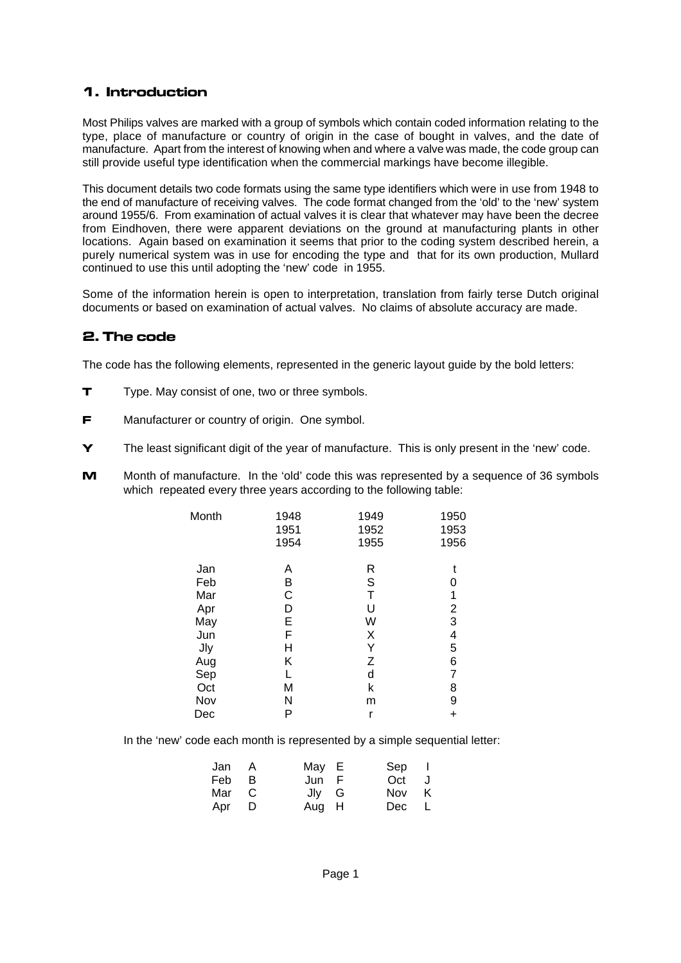### 1. Introduction

Most Philips valves are marked with a group of symbols which contain coded information relating to the type, place of manufacture or country of origin in the case of bought in valves, and the date of manufacture. Apart from the interest of knowing when and where a valve was made, the code group can still provide useful type identification when the commercial markings have become illegible.

This document details two code formats using the same type identifiers which were in use from 1948 to the end of manufacture of receiving valves. The code format changed from the 'old' to the 'new' system around 1955/6. From examination of actual valves it is clear that whatever may have been the decree from Eindhoven, there were apparent deviations on the ground at manufacturing plants in other locations. Again based on examination it seems that prior to the coding system described herein, a purely numerical system was in use for encoding the type and that for its own production, Mullard continued to use this until adopting the 'new' code in 1955.

Some of the information herein is open to interpretation, translation from fairly terse Dutch original documents or based on examination of actual valves. No claims of absolute accuracy are made.

#### 2. The code

The code has the following elements, represented in the generic layout guide by the bold letters:

- **T** Type. May consist of one, two or three symbols.
- **F** Manufacturer or country of origin. One symbol.
- Y The least significant digit of the year of manufacture. This is only present in the 'new' code.
- M Month of manufacture. In the 'old' code this was represented by a sequence of 36 symbols which repeated every three years according to the following table:

| Month      | 1948<br>1951<br>1954 | 1949<br>1952<br>1955 | 1950<br>1953<br>1956 |
|------------|----------------------|----------------------|----------------------|
| Jan        | Α                    | R                    |                      |
| Feb        | B                    | S                    | 0                    |
| Mar        | C                    | T                    | 1                    |
| Apr        | D                    | U                    | $\overline{c}$       |
| May        | E                    | W                    | 3                    |
| Jun        | F                    | Χ                    | 4                    |
| <b>Jly</b> | Н                    | Υ                    | 5                    |
| Aug        | Κ                    | $\mathsf Z$          | 6                    |
| Sep        | L                    | d                    | 7                    |
| Oct        | M                    | k                    | 8                    |
| Nov        | Ν                    | m                    | 9                    |
| Dec        | Ρ                    | r                    | +                    |

In the 'new' code each month is represented by a simple sequential letter:

| Jan A | May E | Sep I |  |
|-------|-------|-------|--|
| Feb B | Jun F | Oct J |  |
| Mar C | Jlv G | Nov K |  |
| Apr D | Aug H | Dec L |  |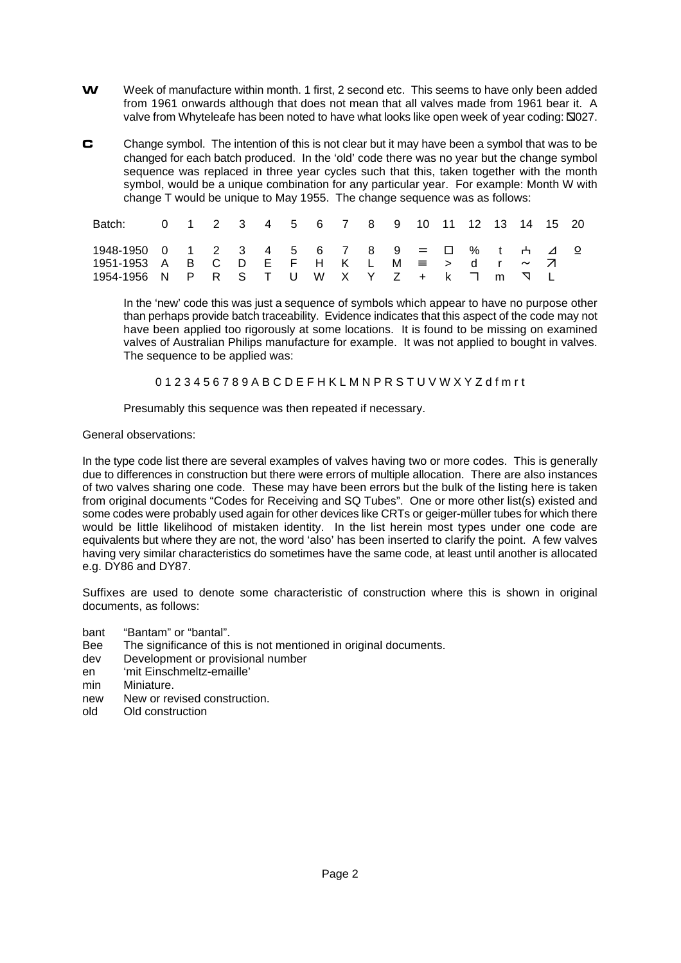- W Week of manufacture within month. 1 first, 2 second etc. This seems to have only been added from 1961 onwards although that does not mean that all valves made from 1961 bear it. A valve from Whyteleafe has been noted to have what looks like open week of year coding:  $\Box$ 027.
- **C** Change symbol. The intention of this is not clear but it may have been a symbol that was to be changed for each batch produced. In the 'old' code there was no year but the change symbol sequence was replaced in three year cycles such that this, taken together with the month symbol, would be a unique combination for any particular year. For example: Month W with change T would be unique to May 1955. The change sequence was as follows:

| Batch: 0 1 2 3 4 5 6 7 8 9 10 11 12 13 14 15 20  |  |  |  |  |  |  |  |  |  |
|--------------------------------------------------|--|--|--|--|--|--|--|--|--|
| 1948-1950 0 1 2 3 4 5 6 7 8 9 = ロ % t + ⊿ 으      |  |  |  |  |  |  |  |  |  |
| 1951-1953 A B C D E F H K L M $\equiv$ > d r ~ 7 |  |  |  |  |  |  |  |  |  |
| 1954-1956 N P R S T U W X Y Z + k ㄱ m ∇ L        |  |  |  |  |  |  |  |  |  |

In the 'new' code this was just a sequence of symbols which appear to have no purpose other than perhaps provide batch traceability. Evidence indicates that this aspect of the code may not have been applied too rigorously at some locations. It is found to be missing on examined valves of Australian Philips manufacture for example. It was not applied to bought in valves. The sequence to be applied was:

0 1 2 3 4 5 6 7 8 9 A B C D E F H K L M N P R S T U V W X Y Z d f m r t

Presumably this sequence was then repeated if necessary.

#### General observations:

In the type code list there are several examples of valves having two or more codes. This is generally due to differences in construction but there were errors of multiple allocation. There are also instances of two valves sharing one code. These may have been errors but the bulk of the listing here is taken from original documents "Codes for Receiving and SQ Tubes". One or more other list(s) existed and some codes were probably used again for other devices like CRTs or geiger-müller tubes for which there would be little likelihood of mistaken identity. In the list herein most types under one code are equivalents but where they are not, the word 'also' has been inserted to clarify the point. A few valves having very similar characteristics do sometimes have the same code, at least until another is allocated e.g. DY86 and DY87.

Suffixes are used to denote some characteristic of construction where this is shown in original documents, as follows:

- bant "Bantam" or "bantal".
- Bee The significance of this is not mentioned in original documents.
- dev Development or provisional number
- en 'mit Einschmeltz-emaille'<br>min Miniature
- Miniature
- new New or revised construction.
- old Old construction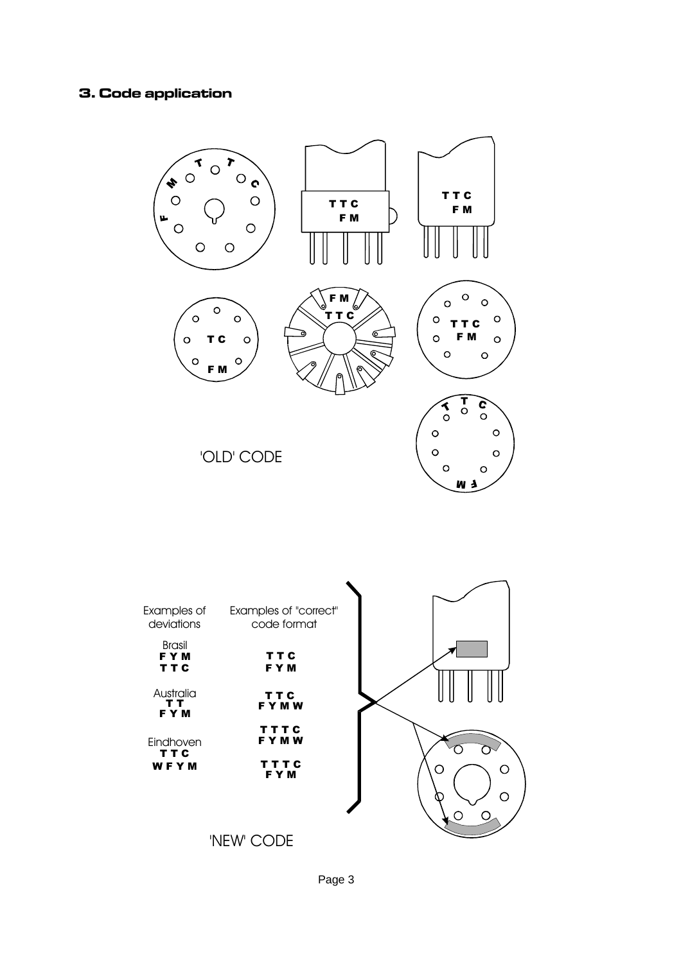### 3. Code application





Page 3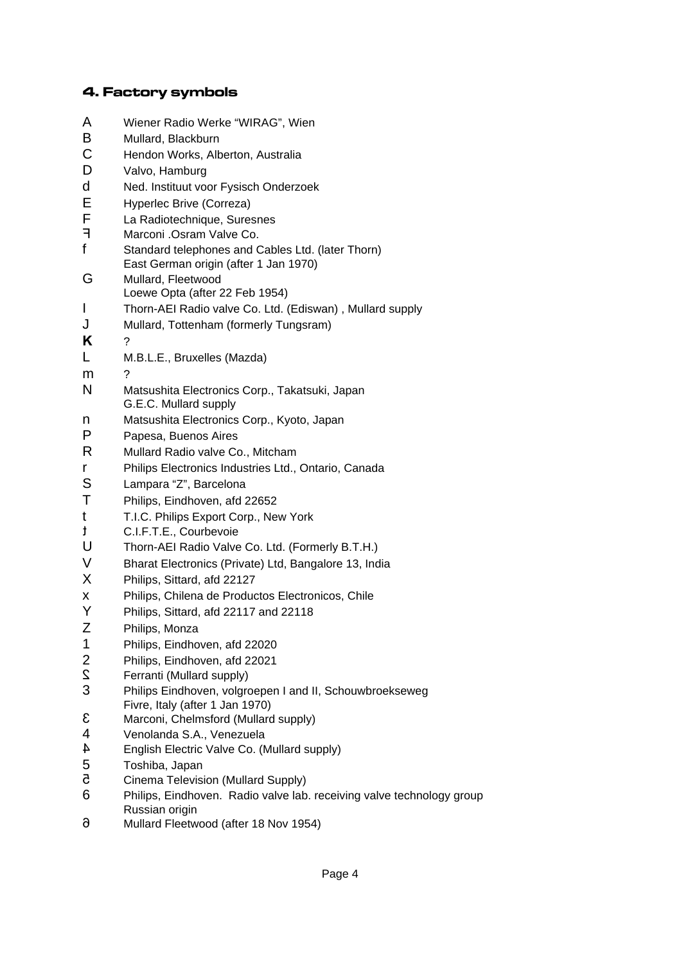#### 4. Factory symbols

- A Wiener Radio Werke "WIRAG", Wien B Mullard, Blackburn C Hendon Works, Alberton, Australia D Valvo, Hamburg d Ned. Instituut voor Fysisch Onderzoek E Hyperlec Brive (Correza) F La Radiotechnique, Suresnes<br>F Marconi Osram Valve Co Marconi .Osram Valve Co. f Standard telephones and Cables Ltd. (later Thorn) East German origin (after 1 Jan 1970) G Mullard, Fleetwood Loewe Opta (after 22 Feb 1954) I Thorn-AEI Radio valve Co. Ltd. (Ediswan) , Mullard supply J Mullard, Tottenham (formerly Tungsram) **K** ? L M.B.L.E., Bruxelles (Mazda) m ? N Matsushita Electronics Corp., Takatsuki, Japan G.E.C. Mullard supply n Matsushita Electronics Corp., Kyoto, Japan P Papesa, Buenos Aires R Mullard Radio valve Co., Mitcham r Philips Electronics Industries Ltd., Ontario, Canada S Lampara "Z", Barcelona T Philips, Eindhoven, afd 22652 t T.I.C. Philips Export Corp., New York t C.I.F.T.E., Courbevoie U Thorn-AEI Radio Valve Co. Ltd. (Formerly B.T.H.) V Bharat Electronics (Private) Ltd, Bangalore 13, India X Philips, Sittard, afd 22127 x Philips, Chilena de Productos Electronicos, Chile Y Philips, Sittard, afd 22117 and 22118 Z Philips, Monza 1 Philips, Eindhoven, afd 22020 2 Philips, Eindhoven, afd 22021 2 Ferranti (Mullard supply) 3 Philips Eindhoven, volgroepen I and II, Schouwbroekseweg Fivre, Italy (after 1 Jan 1970) 3 Marconi, Chelmsford (Mullard supply) 4 Venolanda S.A., Venezuela 4 English Electric Valve Co. (Mullard supply) 5 Toshiba, Japan 5 Cinema Television (Mullard Supply) 6 Philips, Eindhoven. Radio valve lab. receiving valve technology group Russian origin
- 6 Mullard Fleetwood (after 18 Nov 1954)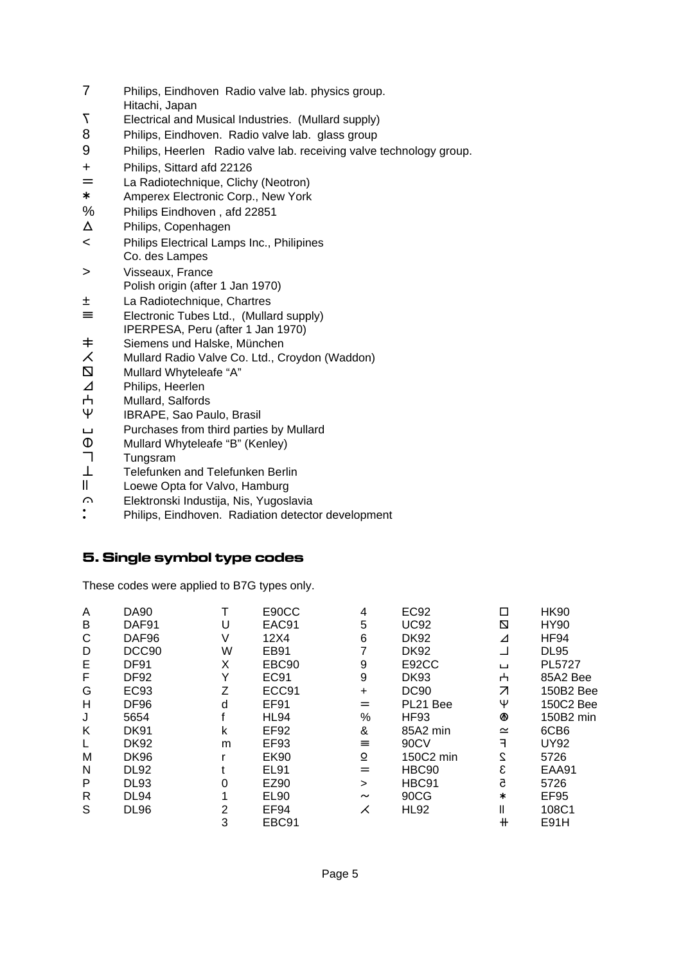- 7 Philips, Eindhoven Radio valve lab. physics group.
- Hitachi, Japan
- 7 Electrical and Musical Industries. (Mullard supply)
- 8 Philips, Eindhoven. Radio valve lab. glass group
- 9 Philips, Heerlen Radio valve lab. receiving valve technology group.
- + Philips, Sittard afd 22126
- La Radiotechnique, Clichy (Neotron)
- \* Amperex Electronic Corp., New York
- % Philips Eindhoven , afd 22851
- X Philips, Copenhagen
- < Philips Electrical Lamps Inc., Philipines Co. des Lampes
- > Visseaux, France Polish origin (after 1 Jan 1970)
- ± La Radiotechnique, Chartres
- $\equiv$  Electronic Tubes Ltd., (Mullard supply) IPERPESA, Peru (after 1 Jan 1970)
- 
- $\pm$  Siemens und Halske, München<br>  $\angle$  Mullard Radio Valve Co. Ltd., C Mullard Radio Valve Co. Ltd., Croydon (Waddon)
- $\Box$  Mullard Whyteleafe "A"
- 
- ⊿ Philips, Heerlen<br>
H Mullard, Salfords H Mullard, Salfords<br>
W IBRAPE, Sao Pai
- IBRAPE, Sao Paulo, Brasil
- **H** Purchases from third parties by Mullard
- $\overline{\mathsf{D}}$  Mullard Whyteleafe "B" (Kenley)<br>
Tungsram
- **Tungsram**
- $\perp$  Telefunken and Telefunken Berlin
- II Loewe Opta for Valvo, Hamburg
- G Elektronski Industija, Nis, Yugoslavia
- Philips, Eindhoven. Radiation detector development

## 5. Single symbol type codes

These codes were applied to B7G types only.

| A | DA90        |                | E90CC             | 4         | <b>EC92</b> | П          | <b>HK90</b>      |
|---|-------------|----------------|-------------------|-----------|-------------|------------|------------------|
| В | DAF91       |                | EAC91             | 5         | <b>UC92</b> | N          | <b>HY90</b>      |
| С | DAF96       |                | 12X4              | 6         | DK92        | ⊿          | <b>HF94</b>      |
| D | DCC90       | W              | EB91              |           | <b>DK92</b> |            | <b>DL95</b>      |
| E | <b>DF91</b> | X              | EBC90             | 9         | E92CC       | $\Box$     | PL5727           |
| F | <b>DF92</b> | Υ              | <b>EC91</b>       | 9         | <b>DK93</b> | o          | 85A2 Bee         |
| G | EC93        | 7              | ECC <sub>91</sub> | $\ddot{}$ | <b>DC90</b> | Z          | 150B2 Bee        |
| н | DF96        | d              | <b>EF91</b>       | $=$       | PL21 Bee    | Ψ          | 150C2 Bee        |
| J | 5654        |                | <b>HL94</b>       | %         | <b>HF93</b> | ⊛          | 150B2 min        |
| Κ | <b>DK91</b> | k              | <b>EF92</b>       | &         | 85A2 min    | $\simeq$   | 6CB <sub>6</sub> |
| L | <b>DK92</b> | m              | EF93              | $\equiv$  | 90CV        | ╕          | <b>UY92</b>      |
| М | <b>DK96</b> |                | <b>EK90</b>       | $\Omega$  | 150C2 min   | 2          | 5726             |
| N | <b>DL92</b> |                | EL91              | $=$       | HBC90       | ε          | EAA91            |
| P | <b>DL93</b> | 0              | EZ90              | $\geq$    | HBC91       | 5          | 5726             |
| R | <b>DL94</b> |                | EL90              | $\sim$    | 90CG        | $\ast$     | EF95             |
| S | <b>DL96</b> | $\overline{2}$ | EF94              | ⋌         | <b>HL92</b> |            | 108C1            |
|   |             | 3              | EBC91             |           |             | $^{\rm +}$ | E91H             |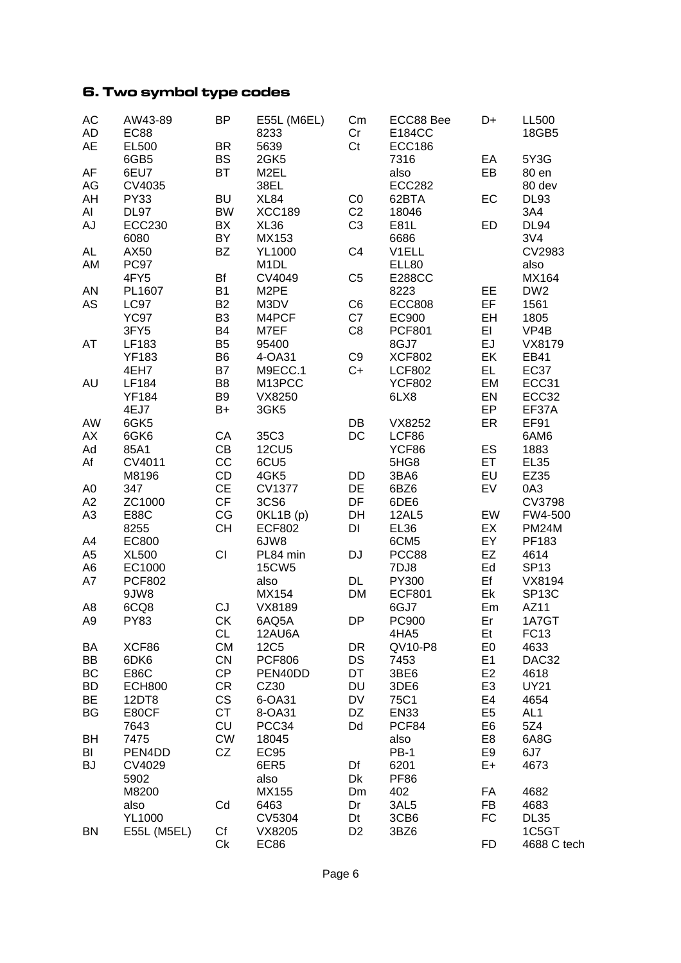# 6. Two symbol type codes

| <b>BS</b><br>6GB5<br>2GK5<br>7316<br>EA<br>5Y3G<br><b>AF</b><br><b>BT</b><br>6EU7<br>EB<br>M <sub>2EL</sub><br>also<br>80 en<br>38EL<br>CV4035<br><b>ECC282</b><br>AG<br>80 dev<br><b>BU</b><br>AH<br><b>PY33</b><br>XL84<br>CO<br>62BTA<br>EC<br><b>DL93</b><br>AI<br><b>BW</b><br><b>XCC189</b><br>C <sub>2</sub><br><b>DL97</b><br>18046<br>3A4<br>C <sub>3</sub><br>AJ<br>BX<br>XL36<br>ED<br><b>DL94</b><br><b>ECC230</b><br>E81L<br>BY<br>3V4<br>6080<br>MX153<br>6686<br><b>AL</b><br><b>BZ</b><br>C <sub>4</sub><br>CV2983<br>AX50<br><b>YL1000</b><br>V1ELL<br>AM<br>PC97<br>M <sub>1</sub> DL<br>ELL80<br>also<br>Bf<br>C <sub>5</sub><br>4FY5<br>CV4049<br><b>E288CC</b><br>MX164<br><b>B1</b><br>AN<br>M2PE<br>EE<br>DW <sub>2</sub><br>PL1607<br>8223<br><b>B2</b><br>EF<br>AS<br><b>ECC808</b><br><b>LC97</b><br>M3DV<br>C <sub>6</sub><br>1561<br><b>YC97</b><br>B <sub>3</sub><br>EH<br>M4PCF<br>C7<br>EC900<br>1805<br>C <sub>8</sub><br><b>B4</b><br>M7EF<br><b>PCF801</b><br>EI<br>3FY5<br>VP4B<br>EJ<br>B <sub>5</sub><br>AT<br>LF183<br>95400<br>8GJ7<br>VX8179<br>B <sub>6</sub><br>C <sub>9</sub><br>EK<br><b>YF183</b><br><b>XCF802</b><br>EB41<br>4-OA31<br><b>B7</b><br>EL.<br><b>EC37</b><br>4EH7<br>M9ECC.1<br>$C+$<br><b>LCF802</b><br>AU<br>B <sub>8</sub><br>EM<br>LF184<br>M13PCC<br><b>YCF802</b><br>ECC31<br>B <sub>9</sub><br>EN<br><b>YF184</b><br>VX8250<br>6LX8<br>ECC32<br>EP<br>4EJ7<br>B+<br>3GK5<br>EF37A<br>DB<br>ER<br><b>EF91</b><br>AW<br>6GK5<br>VX8252<br>CA<br>DC<br>AX<br>6GK6<br>35C3<br>LCF86<br>6AM6<br>CB<br>ES<br>Ad<br>85A1<br><b>12CU5</b><br>YCF86<br>1883<br>CC<br><b>ET</b><br>Af<br>CV4011<br>6CU <sub>5</sub><br>5HG8<br><b>EL35</b><br>CD<br>EU<br>4GK5<br>M8196<br>DD<br>3BA6<br>EZ35<br><b>CE</b><br>A <sub>0</sub><br><b>CV1377</b><br>DE<br>EV<br>0A3<br>347<br>6BZ6<br>CF<br>3CS6<br>DF<br>A2<br>ZC1000<br>6DE6<br><b>CV3798</b><br>A <sub>3</sub><br>CG<br>EW<br>E88C<br>OKL1B(p)<br>DH<br><b>12AL5</b><br>FW4-500<br>CH<br>EX<br>DI<br><b>PM24M</b><br>8255<br><b>ECF802</b><br>EL36<br>A4<br>EC800<br>6JW8<br>EY<br>6CM <sub>5</sub><br>PF183<br>CI<br>A <sub>5</sub><br><b>DJ</b><br>EZ<br>PCC88<br>4614<br><b>XL500</b><br>PL84 min<br>A <sub>6</sub><br><b>15CW5</b><br>7DJ8<br>Ed<br><b>SP13</b><br>EC1000<br>DL<br>PY300<br>Ef<br>A7<br><b>PCF802</b><br>also<br>VX8194<br>Ek<br>9JW8<br>MX154<br><b>DM</b><br><b>ECF801</b><br>SP <sub>13</sub> C<br>A <sub>8</sub><br>CJ<br>6CQ8<br>VX8189<br>6GJ7<br>Em<br>AZ11<br><b>DP</b><br>PC900<br>A <sub>9</sub><br><b>PY83</b><br><b>CK</b><br>6AQ5A<br>Er<br>1A7GT<br><b>CL</b><br>12AU6A<br>4HA5<br><b>FC13</b><br>Et<br><b>CM</b><br>E <sub>0</sub><br><b>12C5</b><br>DR<br>QV10-P8<br>4633<br>BA<br>XCF86<br>CN<br>E1<br>BB<br>6DK6<br><b>PCF806</b><br>DS<br>7453<br>DAC32<br>CP<br>BC<br>DT<br>E <sub>2</sub><br>E86C<br>PEN40DD<br>3BE6<br>4618<br><b>BD</b><br><b>CR</b><br>CZ30<br><b>DU</b><br>E <sub>3</sub><br><b>ECH800</b><br>3DE6<br><b>UY21</b><br>CS<br>BE<br>6-OA31<br>DV<br>75C1<br>E <sub>4</sub><br>12DT8<br>4654<br><b>CT</b><br>DZ<br>E <sub>5</sub><br>BG<br><b>EN33</b><br>AL <sub>1</sub><br>E80CF<br>8-OA31<br>CU<br>PCC34<br>Dd<br>PCF84<br>E <sub>6</sub><br>5Z4<br>7643<br><b>CW</b><br>BH<br>7475<br>E <sub>8</sub><br>6A8G<br>18045<br>also<br>BI<br>CZ<br><b>EC95</b><br><b>PB-1</b><br>E <sub>9</sub><br>PEN4DD<br>6J7<br><b>BJ</b><br>6ER5<br>E+<br>CV4029<br>Df<br>6201<br>4673<br>Dk<br><b>PF86</b><br>5902<br>also<br>MX155<br>FA<br>4682<br>M8200<br>Dm<br>402<br>FB<br>3AL5<br>4683<br>also<br>Cd<br>6463<br>Dr<br>FC<br><b>YL1000</b><br>CV5304<br><b>DL35</b><br>Dt<br>3CB6<br>Cf<br>VX8205<br>D <sub>2</sub><br>1C5GT<br><b>BN</b><br>E55L (M5EL)<br>3BZ6<br><b>FD</b><br>Ck<br>EC86<br>4688 C tech | AC<br>AD  | AW43-89<br><b>EC88</b> | <b>BP</b> | E55L (M6EL)<br>8233 | Cm<br>Cr | ECC88 Bee<br>E184CC | D+ | <b>LL500</b><br>18GB5 |
|-----------------------------------------------------------------------------------------------------------------------------------------------------------------------------------------------------------------------------------------------------------------------------------------------------------------------------------------------------------------------------------------------------------------------------------------------------------------------------------------------------------------------------------------------------------------------------------------------------------------------------------------------------------------------------------------------------------------------------------------------------------------------------------------------------------------------------------------------------------------------------------------------------------------------------------------------------------------------------------------------------------------------------------------------------------------------------------------------------------------------------------------------------------------------------------------------------------------------------------------------------------------------------------------------------------------------------------------------------------------------------------------------------------------------------------------------------------------------------------------------------------------------------------------------------------------------------------------------------------------------------------------------------------------------------------------------------------------------------------------------------------------------------------------------------------------------------------------------------------------------------------------------------------------------------------------------------------------------------------------------------------------------------------------------------------------------------------------------------------------------------------------------------------------------------------------------------------------------------------------------------------------------------------------------------------------------------------------------------------------------------------------------------------------------------------------------------------------------------------------------------------------------------------------------------------------------------------------------------------------------------------------------------------------------------------------------------------------------------------------------------------------------------------------------------------------------------------------------------------------------------------------------------------------------------------------------------------------------------------------------------------------------------------------------------------------------------------------------------------------------------------------------------------------------------------------------------------------------------------------------------------------------------------------------------------------------------------------------------------------------------------------------------------------------------------------------------------------------------------------------------------------------------------------------------------------------------------------------------------------------------------------------------------------------------------------------------------------------------------------------------------------------|-----------|------------------------|-----------|---------------------|----------|---------------------|----|-----------------------|
|                                                                                                                                                                                                                                                                                                                                                                                                                                                                                                                                                                                                                                                                                                                                                                                                                                                                                                                                                                                                                                                                                                                                                                                                                                                                                                                                                                                                                                                                                                                                                                                                                                                                                                                                                                                                                                                                                                                                                                                                                                                                                                                                                                                                                                                                                                                                                                                                                                                                                                                                                                                                                                                                                                                                                                                                                                                                                                                                                                                                                                                                                                                                                                                                                                                                                                                                                                                                                                                                                                                                                                                                                                                                                                                                                                       | <b>AE</b> | EL500                  | <b>BR</b> | 5639                | Ct       | <b>ECC186</b>       |    |                       |
|                                                                                                                                                                                                                                                                                                                                                                                                                                                                                                                                                                                                                                                                                                                                                                                                                                                                                                                                                                                                                                                                                                                                                                                                                                                                                                                                                                                                                                                                                                                                                                                                                                                                                                                                                                                                                                                                                                                                                                                                                                                                                                                                                                                                                                                                                                                                                                                                                                                                                                                                                                                                                                                                                                                                                                                                                                                                                                                                                                                                                                                                                                                                                                                                                                                                                                                                                                                                                                                                                                                                                                                                                                                                                                                                                                       |           |                        |           |                     |          |                     |    |                       |
|                                                                                                                                                                                                                                                                                                                                                                                                                                                                                                                                                                                                                                                                                                                                                                                                                                                                                                                                                                                                                                                                                                                                                                                                                                                                                                                                                                                                                                                                                                                                                                                                                                                                                                                                                                                                                                                                                                                                                                                                                                                                                                                                                                                                                                                                                                                                                                                                                                                                                                                                                                                                                                                                                                                                                                                                                                                                                                                                                                                                                                                                                                                                                                                                                                                                                                                                                                                                                                                                                                                                                                                                                                                                                                                                                                       |           |                        |           |                     |          |                     |    |                       |
|                                                                                                                                                                                                                                                                                                                                                                                                                                                                                                                                                                                                                                                                                                                                                                                                                                                                                                                                                                                                                                                                                                                                                                                                                                                                                                                                                                                                                                                                                                                                                                                                                                                                                                                                                                                                                                                                                                                                                                                                                                                                                                                                                                                                                                                                                                                                                                                                                                                                                                                                                                                                                                                                                                                                                                                                                                                                                                                                                                                                                                                                                                                                                                                                                                                                                                                                                                                                                                                                                                                                                                                                                                                                                                                                                                       |           |                        |           |                     |          |                     |    |                       |
|                                                                                                                                                                                                                                                                                                                                                                                                                                                                                                                                                                                                                                                                                                                                                                                                                                                                                                                                                                                                                                                                                                                                                                                                                                                                                                                                                                                                                                                                                                                                                                                                                                                                                                                                                                                                                                                                                                                                                                                                                                                                                                                                                                                                                                                                                                                                                                                                                                                                                                                                                                                                                                                                                                                                                                                                                                                                                                                                                                                                                                                                                                                                                                                                                                                                                                                                                                                                                                                                                                                                                                                                                                                                                                                                                                       |           |                        |           |                     |          |                     |    |                       |
|                                                                                                                                                                                                                                                                                                                                                                                                                                                                                                                                                                                                                                                                                                                                                                                                                                                                                                                                                                                                                                                                                                                                                                                                                                                                                                                                                                                                                                                                                                                                                                                                                                                                                                                                                                                                                                                                                                                                                                                                                                                                                                                                                                                                                                                                                                                                                                                                                                                                                                                                                                                                                                                                                                                                                                                                                                                                                                                                                                                                                                                                                                                                                                                                                                                                                                                                                                                                                                                                                                                                                                                                                                                                                                                                                                       |           |                        |           |                     |          |                     |    |                       |
|                                                                                                                                                                                                                                                                                                                                                                                                                                                                                                                                                                                                                                                                                                                                                                                                                                                                                                                                                                                                                                                                                                                                                                                                                                                                                                                                                                                                                                                                                                                                                                                                                                                                                                                                                                                                                                                                                                                                                                                                                                                                                                                                                                                                                                                                                                                                                                                                                                                                                                                                                                                                                                                                                                                                                                                                                                                                                                                                                                                                                                                                                                                                                                                                                                                                                                                                                                                                                                                                                                                                                                                                                                                                                                                                                                       |           |                        |           |                     |          |                     |    |                       |
|                                                                                                                                                                                                                                                                                                                                                                                                                                                                                                                                                                                                                                                                                                                                                                                                                                                                                                                                                                                                                                                                                                                                                                                                                                                                                                                                                                                                                                                                                                                                                                                                                                                                                                                                                                                                                                                                                                                                                                                                                                                                                                                                                                                                                                                                                                                                                                                                                                                                                                                                                                                                                                                                                                                                                                                                                                                                                                                                                                                                                                                                                                                                                                                                                                                                                                                                                                                                                                                                                                                                                                                                                                                                                                                                                                       |           |                        |           |                     |          |                     |    |                       |
|                                                                                                                                                                                                                                                                                                                                                                                                                                                                                                                                                                                                                                                                                                                                                                                                                                                                                                                                                                                                                                                                                                                                                                                                                                                                                                                                                                                                                                                                                                                                                                                                                                                                                                                                                                                                                                                                                                                                                                                                                                                                                                                                                                                                                                                                                                                                                                                                                                                                                                                                                                                                                                                                                                                                                                                                                                                                                                                                                                                                                                                                                                                                                                                                                                                                                                                                                                                                                                                                                                                                                                                                                                                                                                                                                                       |           |                        |           |                     |          |                     |    |                       |
|                                                                                                                                                                                                                                                                                                                                                                                                                                                                                                                                                                                                                                                                                                                                                                                                                                                                                                                                                                                                                                                                                                                                                                                                                                                                                                                                                                                                                                                                                                                                                                                                                                                                                                                                                                                                                                                                                                                                                                                                                                                                                                                                                                                                                                                                                                                                                                                                                                                                                                                                                                                                                                                                                                                                                                                                                                                                                                                                                                                                                                                                                                                                                                                                                                                                                                                                                                                                                                                                                                                                                                                                                                                                                                                                                                       |           |                        |           |                     |          |                     |    |                       |
|                                                                                                                                                                                                                                                                                                                                                                                                                                                                                                                                                                                                                                                                                                                                                                                                                                                                                                                                                                                                                                                                                                                                                                                                                                                                                                                                                                                                                                                                                                                                                                                                                                                                                                                                                                                                                                                                                                                                                                                                                                                                                                                                                                                                                                                                                                                                                                                                                                                                                                                                                                                                                                                                                                                                                                                                                                                                                                                                                                                                                                                                                                                                                                                                                                                                                                                                                                                                                                                                                                                                                                                                                                                                                                                                                                       |           |                        |           |                     |          |                     |    |                       |
|                                                                                                                                                                                                                                                                                                                                                                                                                                                                                                                                                                                                                                                                                                                                                                                                                                                                                                                                                                                                                                                                                                                                                                                                                                                                                                                                                                                                                                                                                                                                                                                                                                                                                                                                                                                                                                                                                                                                                                                                                                                                                                                                                                                                                                                                                                                                                                                                                                                                                                                                                                                                                                                                                                                                                                                                                                                                                                                                                                                                                                                                                                                                                                                                                                                                                                                                                                                                                                                                                                                                                                                                                                                                                                                                                                       |           |                        |           |                     |          |                     |    |                       |
|                                                                                                                                                                                                                                                                                                                                                                                                                                                                                                                                                                                                                                                                                                                                                                                                                                                                                                                                                                                                                                                                                                                                                                                                                                                                                                                                                                                                                                                                                                                                                                                                                                                                                                                                                                                                                                                                                                                                                                                                                                                                                                                                                                                                                                                                                                                                                                                                                                                                                                                                                                                                                                                                                                                                                                                                                                                                                                                                                                                                                                                                                                                                                                                                                                                                                                                                                                                                                                                                                                                                                                                                                                                                                                                                                                       |           |                        |           |                     |          |                     |    |                       |
|                                                                                                                                                                                                                                                                                                                                                                                                                                                                                                                                                                                                                                                                                                                                                                                                                                                                                                                                                                                                                                                                                                                                                                                                                                                                                                                                                                                                                                                                                                                                                                                                                                                                                                                                                                                                                                                                                                                                                                                                                                                                                                                                                                                                                                                                                                                                                                                                                                                                                                                                                                                                                                                                                                                                                                                                                                                                                                                                                                                                                                                                                                                                                                                                                                                                                                                                                                                                                                                                                                                                                                                                                                                                                                                                                                       |           |                        |           |                     |          |                     |    |                       |
|                                                                                                                                                                                                                                                                                                                                                                                                                                                                                                                                                                                                                                                                                                                                                                                                                                                                                                                                                                                                                                                                                                                                                                                                                                                                                                                                                                                                                                                                                                                                                                                                                                                                                                                                                                                                                                                                                                                                                                                                                                                                                                                                                                                                                                                                                                                                                                                                                                                                                                                                                                                                                                                                                                                                                                                                                                                                                                                                                                                                                                                                                                                                                                                                                                                                                                                                                                                                                                                                                                                                                                                                                                                                                                                                                                       |           |                        |           |                     |          |                     |    |                       |
|                                                                                                                                                                                                                                                                                                                                                                                                                                                                                                                                                                                                                                                                                                                                                                                                                                                                                                                                                                                                                                                                                                                                                                                                                                                                                                                                                                                                                                                                                                                                                                                                                                                                                                                                                                                                                                                                                                                                                                                                                                                                                                                                                                                                                                                                                                                                                                                                                                                                                                                                                                                                                                                                                                                                                                                                                                                                                                                                                                                                                                                                                                                                                                                                                                                                                                                                                                                                                                                                                                                                                                                                                                                                                                                                                                       |           |                        |           |                     |          |                     |    |                       |
|                                                                                                                                                                                                                                                                                                                                                                                                                                                                                                                                                                                                                                                                                                                                                                                                                                                                                                                                                                                                                                                                                                                                                                                                                                                                                                                                                                                                                                                                                                                                                                                                                                                                                                                                                                                                                                                                                                                                                                                                                                                                                                                                                                                                                                                                                                                                                                                                                                                                                                                                                                                                                                                                                                                                                                                                                                                                                                                                                                                                                                                                                                                                                                                                                                                                                                                                                                                                                                                                                                                                                                                                                                                                                                                                                                       |           |                        |           |                     |          |                     |    |                       |
|                                                                                                                                                                                                                                                                                                                                                                                                                                                                                                                                                                                                                                                                                                                                                                                                                                                                                                                                                                                                                                                                                                                                                                                                                                                                                                                                                                                                                                                                                                                                                                                                                                                                                                                                                                                                                                                                                                                                                                                                                                                                                                                                                                                                                                                                                                                                                                                                                                                                                                                                                                                                                                                                                                                                                                                                                                                                                                                                                                                                                                                                                                                                                                                                                                                                                                                                                                                                                                                                                                                                                                                                                                                                                                                                                                       |           |                        |           |                     |          |                     |    |                       |
|                                                                                                                                                                                                                                                                                                                                                                                                                                                                                                                                                                                                                                                                                                                                                                                                                                                                                                                                                                                                                                                                                                                                                                                                                                                                                                                                                                                                                                                                                                                                                                                                                                                                                                                                                                                                                                                                                                                                                                                                                                                                                                                                                                                                                                                                                                                                                                                                                                                                                                                                                                                                                                                                                                                                                                                                                                                                                                                                                                                                                                                                                                                                                                                                                                                                                                                                                                                                                                                                                                                                                                                                                                                                                                                                                                       |           |                        |           |                     |          |                     |    |                       |
|                                                                                                                                                                                                                                                                                                                                                                                                                                                                                                                                                                                                                                                                                                                                                                                                                                                                                                                                                                                                                                                                                                                                                                                                                                                                                                                                                                                                                                                                                                                                                                                                                                                                                                                                                                                                                                                                                                                                                                                                                                                                                                                                                                                                                                                                                                                                                                                                                                                                                                                                                                                                                                                                                                                                                                                                                                                                                                                                                                                                                                                                                                                                                                                                                                                                                                                                                                                                                                                                                                                                                                                                                                                                                                                                                                       |           |                        |           |                     |          |                     |    |                       |
|                                                                                                                                                                                                                                                                                                                                                                                                                                                                                                                                                                                                                                                                                                                                                                                                                                                                                                                                                                                                                                                                                                                                                                                                                                                                                                                                                                                                                                                                                                                                                                                                                                                                                                                                                                                                                                                                                                                                                                                                                                                                                                                                                                                                                                                                                                                                                                                                                                                                                                                                                                                                                                                                                                                                                                                                                                                                                                                                                                                                                                                                                                                                                                                                                                                                                                                                                                                                                                                                                                                                                                                                                                                                                                                                                                       |           |                        |           |                     |          |                     |    |                       |
|                                                                                                                                                                                                                                                                                                                                                                                                                                                                                                                                                                                                                                                                                                                                                                                                                                                                                                                                                                                                                                                                                                                                                                                                                                                                                                                                                                                                                                                                                                                                                                                                                                                                                                                                                                                                                                                                                                                                                                                                                                                                                                                                                                                                                                                                                                                                                                                                                                                                                                                                                                                                                                                                                                                                                                                                                                                                                                                                                                                                                                                                                                                                                                                                                                                                                                                                                                                                                                                                                                                                                                                                                                                                                                                                                                       |           |                        |           |                     |          |                     |    |                       |
|                                                                                                                                                                                                                                                                                                                                                                                                                                                                                                                                                                                                                                                                                                                                                                                                                                                                                                                                                                                                                                                                                                                                                                                                                                                                                                                                                                                                                                                                                                                                                                                                                                                                                                                                                                                                                                                                                                                                                                                                                                                                                                                                                                                                                                                                                                                                                                                                                                                                                                                                                                                                                                                                                                                                                                                                                                                                                                                                                                                                                                                                                                                                                                                                                                                                                                                                                                                                                                                                                                                                                                                                                                                                                                                                                                       |           |                        |           |                     |          |                     |    |                       |
|                                                                                                                                                                                                                                                                                                                                                                                                                                                                                                                                                                                                                                                                                                                                                                                                                                                                                                                                                                                                                                                                                                                                                                                                                                                                                                                                                                                                                                                                                                                                                                                                                                                                                                                                                                                                                                                                                                                                                                                                                                                                                                                                                                                                                                                                                                                                                                                                                                                                                                                                                                                                                                                                                                                                                                                                                                                                                                                                                                                                                                                                                                                                                                                                                                                                                                                                                                                                                                                                                                                                                                                                                                                                                                                                                                       |           |                        |           |                     |          |                     |    |                       |
|                                                                                                                                                                                                                                                                                                                                                                                                                                                                                                                                                                                                                                                                                                                                                                                                                                                                                                                                                                                                                                                                                                                                                                                                                                                                                                                                                                                                                                                                                                                                                                                                                                                                                                                                                                                                                                                                                                                                                                                                                                                                                                                                                                                                                                                                                                                                                                                                                                                                                                                                                                                                                                                                                                                                                                                                                                                                                                                                                                                                                                                                                                                                                                                                                                                                                                                                                                                                                                                                                                                                                                                                                                                                                                                                                                       |           |                        |           |                     |          |                     |    |                       |
|                                                                                                                                                                                                                                                                                                                                                                                                                                                                                                                                                                                                                                                                                                                                                                                                                                                                                                                                                                                                                                                                                                                                                                                                                                                                                                                                                                                                                                                                                                                                                                                                                                                                                                                                                                                                                                                                                                                                                                                                                                                                                                                                                                                                                                                                                                                                                                                                                                                                                                                                                                                                                                                                                                                                                                                                                                                                                                                                                                                                                                                                                                                                                                                                                                                                                                                                                                                                                                                                                                                                                                                                                                                                                                                                                                       |           |                        |           |                     |          |                     |    |                       |
|                                                                                                                                                                                                                                                                                                                                                                                                                                                                                                                                                                                                                                                                                                                                                                                                                                                                                                                                                                                                                                                                                                                                                                                                                                                                                                                                                                                                                                                                                                                                                                                                                                                                                                                                                                                                                                                                                                                                                                                                                                                                                                                                                                                                                                                                                                                                                                                                                                                                                                                                                                                                                                                                                                                                                                                                                                                                                                                                                                                                                                                                                                                                                                                                                                                                                                                                                                                                                                                                                                                                                                                                                                                                                                                                                                       |           |                        |           |                     |          |                     |    |                       |
|                                                                                                                                                                                                                                                                                                                                                                                                                                                                                                                                                                                                                                                                                                                                                                                                                                                                                                                                                                                                                                                                                                                                                                                                                                                                                                                                                                                                                                                                                                                                                                                                                                                                                                                                                                                                                                                                                                                                                                                                                                                                                                                                                                                                                                                                                                                                                                                                                                                                                                                                                                                                                                                                                                                                                                                                                                                                                                                                                                                                                                                                                                                                                                                                                                                                                                                                                                                                                                                                                                                                                                                                                                                                                                                                                                       |           |                        |           |                     |          |                     |    |                       |
|                                                                                                                                                                                                                                                                                                                                                                                                                                                                                                                                                                                                                                                                                                                                                                                                                                                                                                                                                                                                                                                                                                                                                                                                                                                                                                                                                                                                                                                                                                                                                                                                                                                                                                                                                                                                                                                                                                                                                                                                                                                                                                                                                                                                                                                                                                                                                                                                                                                                                                                                                                                                                                                                                                                                                                                                                                                                                                                                                                                                                                                                                                                                                                                                                                                                                                                                                                                                                                                                                                                                                                                                                                                                                                                                                                       |           |                        |           |                     |          |                     |    |                       |
|                                                                                                                                                                                                                                                                                                                                                                                                                                                                                                                                                                                                                                                                                                                                                                                                                                                                                                                                                                                                                                                                                                                                                                                                                                                                                                                                                                                                                                                                                                                                                                                                                                                                                                                                                                                                                                                                                                                                                                                                                                                                                                                                                                                                                                                                                                                                                                                                                                                                                                                                                                                                                                                                                                                                                                                                                                                                                                                                                                                                                                                                                                                                                                                                                                                                                                                                                                                                                                                                                                                                                                                                                                                                                                                                                                       |           |                        |           |                     |          |                     |    |                       |
|                                                                                                                                                                                                                                                                                                                                                                                                                                                                                                                                                                                                                                                                                                                                                                                                                                                                                                                                                                                                                                                                                                                                                                                                                                                                                                                                                                                                                                                                                                                                                                                                                                                                                                                                                                                                                                                                                                                                                                                                                                                                                                                                                                                                                                                                                                                                                                                                                                                                                                                                                                                                                                                                                                                                                                                                                                                                                                                                                                                                                                                                                                                                                                                                                                                                                                                                                                                                                                                                                                                                                                                                                                                                                                                                                                       |           |                        |           |                     |          |                     |    |                       |
|                                                                                                                                                                                                                                                                                                                                                                                                                                                                                                                                                                                                                                                                                                                                                                                                                                                                                                                                                                                                                                                                                                                                                                                                                                                                                                                                                                                                                                                                                                                                                                                                                                                                                                                                                                                                                                                                                                                                                                                                                                                                                                                                                                                                                                                                                                                                                                                                                                                                                                                                                                                                                                                                                                                                                                                                                                                                                                                                                                                                                                                                                                                                                                                                                                                                                                                                                                                                                                                                                                                                                                                                                                                                                                                                                                       |           |                        |           |                     |          |                     |    |                       |
|                                                                                                                                                                                                                                                                                                                                                                                                                                                                                                                                                                                                                                                                                                                                                                                                                                                                                                                                                                                                                                                                                                                                                                                                                                                                                                                                                                                                                                                                                                                                                                                                                                                                                                                                                                                                                                                                                                                                                                                                                                                                                                                                                                                                                                                                                                                                                                                                                                                                                                                                                                                                                                                                                                                                                                                                                                                                                                                                                                                                                                                                                                                                                                                                                                                                                                                                                                                                                                                                                                                                                                                                                                                                                                                                                                       |           |                        |           |                     |          |                     |    |                       |
|                                                                                                                                                                                                                                                                                                                                                                                                                                                                                                                                                                                                                                                                                                                                                                                                                                                                                                                                                                                                                                                                                                                                                                                                                                                                                                                                                                                                                                                                                                                                                                                                                                                                                                                                                                                                                                                                                                                                                                                                                                                                                                                                                                                                                                                                                                                                                                                                                                                                                                                                                                                                                                                                                                                                                                                                                                                                                                                                                                                                                                                                                                                                                                                                                                                                                                                                                                                                                                                                                                                                                                                                                                                                                                                                                                       |           |                        |           |                     |          |                     |    |                       |
|                                                                                                                                                                                                                                                                                                                                                                                                                                                                                                                                                                                                                                                                                                                                                                                                                                                                                                                                                                                                                                                                                                                                                                                                                                                                                                                                                                                                                                                                                                                                                                                                                                                                                                                                                                                                                                                                                                                                                                                                                                                                                                                                                                                                                                                                                                                                                                                                                                                                                                                                                                                                                                                                                                                                                                                                                                                                                                                                                                                                                                                                                                                                                                                                                                                                                                                                                                                                                                                                                                                                                                                                                                                                                                                                                                       |           |                        |           |                     |          |                     |    |                       |
|                                                                                                                                                                                                                                                                                                                                                                                                                                                                                                                                                                                                                                                                                                                                                                                                                                                                                                                                                                                                                                                                                                                                                                                                                                                                                                                                                                                                                                                                                                                                                                                                                                                                                                                                                                                                                                                                                                                                                                                                                                                                                                                                                                                                                                                                                                                                                                                                                                                                                                                                                                                                                                                                                                                                                                                                                                                                                                                                                                                                                                                                                                                                                                                                                                                                                                                                                                                                                                                                                                                                                                                                                                                                                                                                                                       |           |                        |           |                     |          |                     |    |                       |
|                                                                                                                                                                                                                                                                                                                                                                                                                                                                                                                                                                                                                                                                                                                                                                                                                                                                                                                                                                                                                                                                                                                                                                                                                                                                                                                                                                                                                                                                                                                                                                                                                                                                                                                                                                                                                                                                                                                                                                                                                                                                                                                                                                                                                                                                                                                                                                                                                                                                                                                                                                                                                                                                                                                                                                                                                                                                                                                                                                                                                                                                                                                                                                                                                                                                                                                                                                                                                                                                                                                                                                                                                                                                                                                                                                       |           |                        |           |                     |          |                     |    |                       |
|                                                                                                                                                                                                                                                                                                                                                                                                                                                                                                                                                                                                                                                                                                                                                                                                                                                                                                                                                                                                                                                                                                                                                                                                                                                                                                                                                                                                                                                                                                                                                                                                                                                                                                                                                                                                                                                                                                                                                                                                                                                                                                                                                                                                                                                                                                                                                                                                                                                                                                                                                                                                                                                                                                                                                                                                                                                                                                                                                                                                                                                                                                                                                                                                                                                                                                                                                                                                                                                                                                                                                                                                                                                                                                                                                                       |           |                        |           |                     |          |                     |    |                       |
|                                                                                                                                                                                                                                                                                                                                                                                                                                                                                                                                                                                                                                                                                                                                                                                                                                                                                                                                                                                                                                                                                                                                                                                                                                                                                                                                                                                                                                                                                                                                                                                                                                                                                                                                                                                                                                                                                                                                                                                                                                                                                                                                                                                                                                                                                                                                                                                                                                                                                                                                                                                                                                                                                                                                                                                                                                                                                                                                                                                                                                                                                                                                                                                                                                                                                                                                                                                                                                                                                                                                                                                                                                                                                                                                                                       |           |                        |           |                     |          |                     |    |                       |
|                                                                                                                                                                                                                                                                                                                                                                                                                                                                                                                                                                                                                                                                                                                                                                                                                                                                                                                                                                                                                                                                                                                                                                                                                                                                                                                                                                                                                                                                                                                                                                                                                                                                                                                                                                                                                                                                                                                                                                                                                                                                                                                                                                                                                                                                                                                                                                                                                                                                                                                                                                                                                                                                                                                                                                                                                                                                                                                                                                                                                                                                                                                                                                                                                                                                                                                                                                                                                                                                                                                                                                                                                                                                                                                                                                       |           |                        |           |                     |          |                     |    |                       |
|                                                                                                                                                                                                                                                                                                                                                                                                                                                                                                                                                                                                                                                                                                                                                                                                                                                                                                                                                                                                                                                                                                                                                                                                                                                                                                                                                                                                                                                                                                                                                                                                                                                                                                                                                                                                                                                                                                                                                                                                                                                                                                                                                                                                                                                                                                                                                                                                                                                                                                                                                                                                                                                                                                                                                                                                                                                                                                                                                                                                                                                                                                                                                                                                                                                                                                                                                                                                                                                                                                                                                                                                                                                                                                                                                                       |           |                        |           |                     |          |                     |    |                       |
|                                                                                                                                                                                                                                                                                                                                                                                                                                                                                                                                                                                                                                                                                                                                                                                                                                                                                                                                                                                                                                                                                                                                                                                                                                                                                                                                                                                                                                                                                                                                                                                                                                                                                                                                                                                                                                                                                                                                                                                                                                                                                                                                                                                                                                                                                                                                                                                                                                                                                                                                                                                                                                                                                                                                                                                                                                                                                                                                                                                                                                                                                                                                                                                                                                                                                                                                                                                                                                                                                                                                                                                                                                                                                                                                                                       |           |                        |           |                     |          |                     |    |                       |
|                                                                                                                                                                                                                                                                                                                                                                                                                                                                                                                                                                                                                                                                                                                                                                                                                                                                                                                                                                                                                                                                                                                                                                                                                                                                                                                                                                                                                                                                                                                                                                                                                                                                                                                                                                                                                                                                                                                                                                                                                                                                                                                                                                                                                                                                                                                                                                                                                                                                                                                                                                                                                                                                                                                                                                                                                                                                                                                                                                                                                                                                                                                                                                                                                                                                                                                                                                                                                                                                                                                                                                                                                                                                                                                                                                       |           |                        |           |                     |          |                     |    |                       |
|                                                                                                                                                                                                                                                                                                                                                                                                                                                                                                                                                                                                                                                                                                                                                                                                                                                                                                                                                                                                                                                                                                                                                                                                                                                                                                                                                                                                                                                                                                                                                                                                                                                                                                                                                                                                                                                                                                                                                                                                                                                                                                                                                                                                                                                                                                                                                                                                                                                                                                                                                                                                                                                                                                                                                                                                                                                                                                                                                                                                                                                                                                                                                                                                                                                                                                                                                                                                                                                                                                                                                                                                                                                                                                                                                                       |           |                        |           |                     |          |                     |    |                       |
|                                                                                                                                                                                                                                                                                                                                                                                                                                                                                                                                                                                                                                                                                                                                                                                                                                                                                                                                                                                                                                                                                                                                                                                                                                                                                                                                                                                                                                                                                                                                                                                                                                                                                                                                                                                                                                                                                                                                                                                                                                                                                                                                                                                                                                                                                                                                                                                                                                                                                                                                                                                                                                                                                                                                                                                                                                                                                                                                                                                                                                                                                                                                                                                                                                                                                                                                                                                                                                                                                                                                                                                                                                                                                                                                                                       |           |                        |           |                     |          |                     |    |                       |
|                                                                                                                                                                                                                                                                                                                                                                                                                                                                                                                                                                                                                                                                                                                                                                                                                                                                                                                                                                                                                                                                                                                                                                                                                                                                                                                                                                                                                                                                                                                                                                                                                                                                                                                                                                                                                                                                                                                                                                                                                                                                                                                                                                                                                                                                                                                                                                                                                                                                                                                                                                                                                                                                                                                                                                                                                                                                                                                                                                                                                                                                                                                                                                                                                                                                                                                                                                                                                                                                                                                                                                                                                                                                                                                                                                       |           |                        |           |                     |          |                     |    |                       |
|                                                                                                                                                                                                                                                                                                                                                                                                                                                                                                                                                                                                                                                                                                                                                                                                                                                                                                                                                                                                                                                                                                                                                                                                                                                                                                                                                                                                                                                                                                                                                                                                                                                                                                                                                                                                                                                                                                                                                                                                                                                                                                                                                                                                                                                                                                                                                                                                                                                                                                                                                                                                                                                                                                                                                                                                                                                                                                                                                                                                                                                                                                                                                                                                                                                                                                                                                                                                                                                                                                                                                                                                                                                                                                                                                                       |           |                        |           |                     |          |                     |    |                       |
|                                                                                                                                                                                                                                                                                                                                                                                                                                                                                                                                                                                                                                                                                                                                                                                                                                                                                                                                                                                                                                                                                                                                                                                                                                                                                                                                                                                                                                                                                                                                                                                                                                                                                                                                                                                                                                                                                                                                                                                                                                                                                                                                                                                                                                                                                                                                                                                                                                                                                                                                                                                                                                                                                                                                                                                                                                                                                                                                                                                                                                                                                                                                                                                                                                                                                                                                                                                                                                                                                                                                                                                                                                                                                                                                                                       |           |                        |           |                     |          |                     |    |                       |
|                                                                                                                                                                                                                                                                                                                                                                                                                                                                                                                                                                                                                                                                                                                                                                                                                                                                                                                                                                                                                                                                                                                                                                                                                                                                                                                                                                                                                                                                                                                                                                                                                                                                                                                                                                                                                                                                                                                                                                                                                                                                                                                                                                                                                                                                                                                                                                                                                                                                                                                                                                                                                                                                                                                                                                                                                                                                                                                                                                                                                                                                                                                                                                                                                                                                                                                                                                                                                                                                                                                                                                                                                                                                                                                                                                       |           |                        |           |                     |          |                     |    |                       |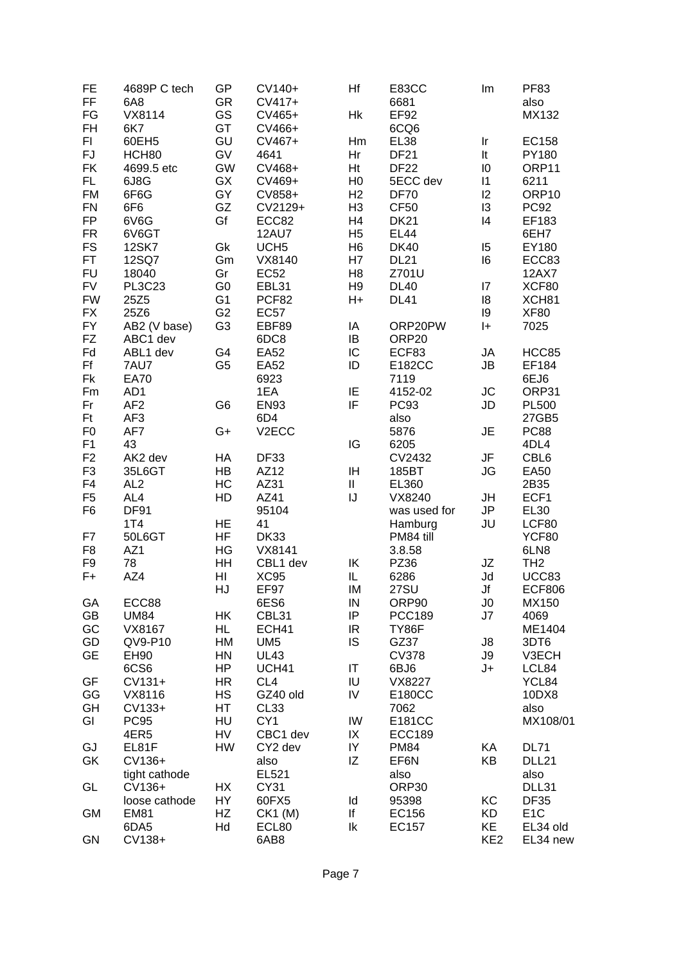| FE             | 4689P C tech    | GP             | CV140+             | Hf             | E83CC            | Im                         | <b>PF83</b>      |
|----------------|-----------------|----------------|--------------------|----------------|------------------|----------------------------|------------------|
| <b>FF</b>      | 6A8             | <b>GR</b>      | CV417+             |                | 6681             |                            | also             |
| FG             | VX8114          | GS             | CV465+             | Hk             | EF92             |                            | MX132            |
| <b>FH</b>      | 6K7             | GT             | CV466+             |                | 6CQ6             |                            |                  |
| FI.            | 60EH5           | GU             | CV467+             | Hm             | <b>EL38</b>      | $\ensuremath{\mathsf{Ir}}$ | EC158            |
| FJ             | HCH80           | GV             | 4641               | Hr             | <b>DF21</b>      | It                         | PY180            |
| <b>FK</b>      | 4699.5 etc      | <b>GW</b>      | CV468+             | Ht             | <b>DF22</b>      | 10                         | ORP11            |
| FL.            | 6J8G            | GX             | CV469+             | H <sub>0</sub> | 5ECC dev         | $\vert$ 1                  | 6211             |
| <b>FM</b>      | 6F6G            | GY             | CV858+             | H <sub>2</sub> | <b>DF70</b>      | 2                          | ORP10            |
| <b>FN</b>      |                 | GZ             | CV2129+            | H <sub>3</sub> | CF <sub>50</sub> | 13                         | <b>PC92</b>      |
|                | 6F6             |                |                    |                |                  | 4                          |                  |
| <b>FP</b>      | 6V6G            | Gf             | ECC82              | H4             | <b>DK21</b>      |                            | EF183            |
| <b>FR</b>      | 6V6GT           |                | <b>12AU7</b>       | H <sub>5</sub> | <b>EL44</b>      |                            | 6EH7             |
| <b>FS</b>      | <b>12SK7</b>    | Gk             | UCH <sub>5</sub>   | H <sub>6</sub> | <b>DK40</b>      | 15                         | EY180            |
| <b>FT</b>      | 12SQ7           | Gm             | VX8140             | H7             | <b>DL21</b>      | 16                         | ECC83            |
| <b>FU</b>      | 18040           | Gr             | <b>EC52</b>        | H <sub>8</sub> | Z701U            |                            | <b>12AX7</b>     |
| <b>FV</b>      | <b>PL3C23</b>   | G <sub>0</sub> | EBL31              | H <sub>9</sub> | <b>DL40</b>      | 17                         | XCF80            |
| <b>FW</b>      | 25Z5            | G <sub>1</sub> | PCF82              | H+             | <b>DL41</b>      | 18                         | XCH81            |
| <b>FX</b>      | 25Z6            | G <sub>2</sub> | <b>EC57</b>        |                |                  | 19                         | <b>XF80</b>      |
| <b>FY</b>      | AB2 (V base)    | G <sub>3</sub> | EBF89              | IA             | ORP20PW          | $ + $                      | 7025             |
| <b>FZ</b>      | ABC1 dev        |                | 6DC8               | IB             | ORP20            |                            |                  |
| Fd             | ABL1 dev        | G4             | <b>EA52</b>        | IC             | ECF83            | JA                         | HCC85            |
| Ff             | 7AU7            | G <sub>5</sub> | <b>EA52</b>        | ID             | E182CC           | JB                         | EF184            |
| Fk             | <b>EA70</b>     |                | 6923               |                | 7119             |                            | 6EJ6             |
| Fm             | AD1             |                | 1EA                | IE             | 4152-02          | <b>JC</b>                  | ORP31            |
| Fr             | AF <sub>2</sub> | G <sub>6</sub> | <b>EN93</b>        | IF             | <b>PC93</b>      | JD                         | <b>PL500</b>     |
| <b>Ft</b>      | AF <sub>3</sub> |                | 6D4                |                | also             |                            | 27GB5            |
| F <sub>0</sub> | AF7             | G+             | V <sub>2</sub> ECC |                | 5876             | JE                         | <b>PC88</b>      |
| F1             | 43              |                |                    | IG             | 6205             |                            | 4DL4             |
| F <sub>2</sub> | AK2 dev         | HA             | DF33               |                | CV2432           | JF                         | CBL6             |
| F <sub>3</sub> |                 | HB             | AZ12               |                |                  |                            |                  |
|                | 35L6GT          |                |                    | ΙH             | 185BT            | JG                         | <b>EA50</b>      |
| F <sub>4</sub> | AL <sub>2</sub> | HC             | AZ31               | $\rm H$        | EL360            |                            | 2B35             |
| F <sub>5</sub> | AL4             | HD             | AZ41               | IJ             | VX8240           | JH                         | ECF1             |
| F <sub>6</sub> | <b>DF91</b>     |                | 95104              |                | was used for     | JP                         | <b>EL30</b>      |
|                | 1T4             | HE             | 41                 |                | Hamburg          | JU                         | LCF80            |
| F7             | 50L6GT          | <b>HF</b>      | <b>DK33</b>        |                | PM84 till        |                            | YCF80            |
| F <sub>8</sub> | AZ1             | HG             | VX8141             |                | 3.8.58           |                            | 6LN8             |
| F9             | 78              | HH             | CBL1 dev           | IK             | PZ36             | JZ                         | TH <sub>2</sub>  |
| $F +$          | AZ4             | HI             | <b>XC95</b>        | IL             | 6286             | Jd                         | UCC83            |
|                |                 | HJ             | EF97               | IM             | <b>27SU</b>      | Jf                         | <b>ECF806</b>    |
| GA             | ECC88           |                | 6ES6               | ${\sf IN}$     | ORP90            | J0                         | MX150            |
| GB             | <b>UM84</b>     | НK             | CBL31              | IP             | <b>PCC189</b>    | J7                         | 4069             |
| GC             | VX8167          | HL             | ECH41              | IR             | TY86F            |                            | ME1404           |
| GD             | QV9-P10         | HM             | UM <sub>5</sub>    | IS             | GZ37             | J8                         | 3DT6             |
| <b>GE</b>      | EH90            | HN             | <b>UL43</b>        |                | <b>CV378</b>     | J9                         | V3ECH            |
|                | 6CS6            | HP             | UCH41              | IT             | 6BJ6             | J+                         | LCL84            |
| GF             | $CV131+$        | HR.            | CL <sub>4</sub>    | IU             | VX8227           |                            | YCL84            |
| GG             | VX8116          | HS             | GZ40 old           | IV             | E180CC           |                            | 10DX8            |
| GH             | CV133+          | HT             | CL <sub>33</sub>   |                | 7062             |                            | also             |
| GI             | <b>PC95</b>     | HU             | CY <sub>1</sub>    | IW             | E181CC           |                            | MX108/01         |
|                | 4ER5            | HV             | CBC1 dev           | IX             | <b>ECC189</b>    |                            |                  |
| GJ             | EL81F           | HW             | CY2 dev            | IY             | <b>PM84</b>      | KA                         | <b>DL71</b>      |
|                |                 |                |                    |                |                  |                            |                  |
| GK             | CV136+          |                | also               | ΙZ             | EF6N             | KB                         | DLL21            |
|                | tight cathode   |                | EL521              |                | also             |                            | also             |
| GL             | CV136+          | HX             | CY31               |                | ORP30            |                            | DLL31            |
|                | loose cathode   | HY             | 60FX5              | ld             | 95398            | KC                         | <b>DF35</b>      |
| <b>GM</b>      | <b>EM81</b>     | HZ             | $CK1$ (M)          | lf             | EC156            | KD                         | E <sub>1</sub> C |
|                | 6DA5            | Hd             | ECL80              | lk             | EC157            | KE                         | EL34 old         |
| GN             | CV138+          |                | 6AB8               |                |                  | KE <sub>2</sub>            | EL34 new         |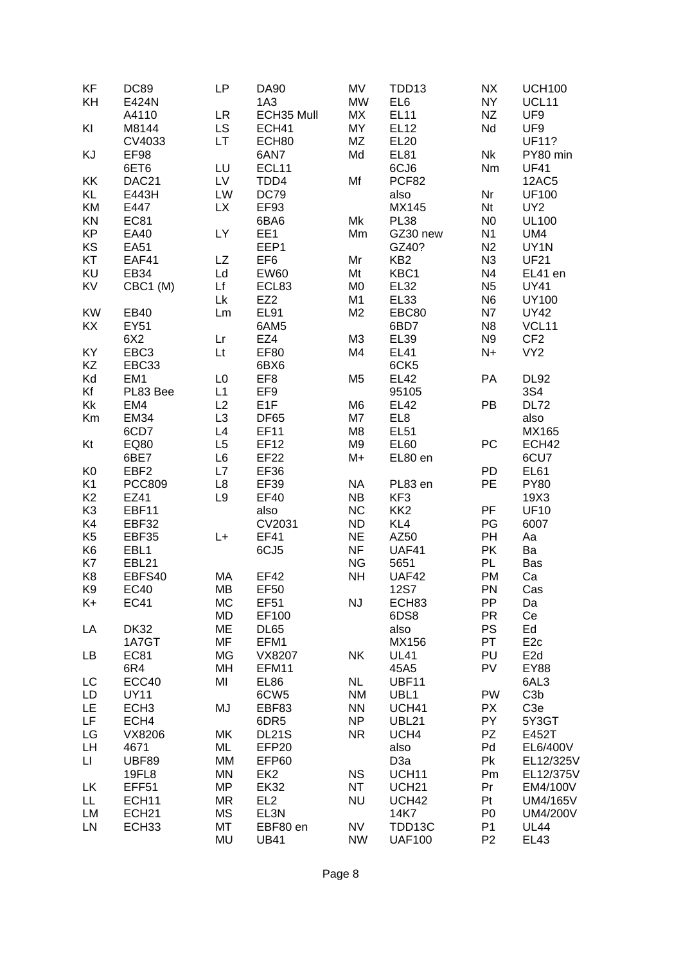| KF             | <b>DC89</b>       | <b>LP</b>      | <b>DA90</b>       | <b>MV</b>      | TDD13             | <b>NX</b>      | <b>UCH100</b>     |
|----------------|-------------------|----------------|-------------------|----------------|-------------------|----------------|-------------------|
| KH             | E424N             |                | 1A3               | <b>MW</b>      | EL <sub>6</sub>   | <b>NY</b>      | UCL11             |
|                | A4110             | <b>LR</b>      | ECH35 Mull        | МX             | <b>EL11</b>       | <b>NZ</b>      | UF9               |
| KI             | M8144             | <b>LS</b>      | ECH41             | MY             | <b>EL12</b>       | Nd             | UF9               |
|                | CV4033            | <b>LT</b>      | ECH80             | MZ             | <b>EL20</b>       |                | <b>UF11?</b>      |
| KJ             | EF98              |                | 6AN7              | Md             | <b>EL81</b>       | <b>Nk</b>      | PY80 min          |
|                | 6ET6              | LU             | ECL11             |                | 6CJ6              | Nm             | <b>UF41</b>       |
| KK             | DAC21             | LV             | TDD4              | Mf             | PCF82             |                | <b>12AC5</b>      |
| KL             | E443H             | LW             | <b>DC79</b>       |                | also              | Nr             | <b>UF100</b>      |
| KM             | E447              | <b>LX</b>      | EF93              |                | MX145             | Nt             | UY <sub>2</sub>   |
| KN             | <b>EC81</b>       |                | 6BA6              | Mk             | <b>PL38</b>       | N <sub>0</sub> | <b>UL100</b>      |
| <b>KP</b>      | EA40              | LY             | EE1               | Mm             | GZ30 new          | N <sub>1</sub> | UM4               |
| KS             | <b>EA51</b>       |                | EEP1              |                | GZ40?             | N2             | UY1N              |
| KT             | EAF41             | <b>LZ</b>      | EF <sub>6</sub>   | Mr             | KB <sub>2</sub>   | N3             | <b>UF21</b>       |
|                |                   |                |                   |                |                   |                |                   |
| KU             | EB34              | Ld             | <b>EW60</b>       | Mt             | KBC1              | N <sub>4</sub> | EL41 en           |
| KV             | CBC1 (M)          | Lf             | ECL83             | M <sub>0</sub> | <b>EL32</b>       | N <sub>5</sub> | <b>UY41</b>       |
|                |                   | Lk             | EZ <sub>2</sub>   | M <sub>1</sub> | <b>EL33</b>       | N <sub>6</sub> | <b>UY100</b>      |
| <b>KW</b>      | EB40              | Lm             | EL91              | M <sub>2</sub> | EBC80             | <b>N7</b>      | <b>UY42</b>       |
| KX             | EY51              |                | 6AM5              |                | 6BD7              | N <sub>8</sub> | VCL11             |
|                | 6X2               | Lr             | EZ4               | M <sub>3</sub> | <b>EL39</b>       | N <sub>9</sub> | CF <sub>2</sub>   |
| KY             | EBC <sub>3</sub>  | Lt             | <b>EF80</b>       | M4             | <b>EL41</b>       | $N+$           | VY <sub>2</sub>   |
| KZ             | EBC33             |                | 6BX6              |                | 6CK5              |                |                   |
| Kd             | EM <sub>1</sub>   | L <sub>0</sub> | EF <sub>8</sub>   | M <sub>5</sub> | <b>EL42</b>       | PA             | <b>DL92</b>       |
| Kf             | PL83 Bee          | L1             | EF9               |                | 95105             |                | 3S4               |
| Kk             | EM4               | L2             | E <sub>1</sub> F  | M <sub>6</sub> | <b>EL42</b>       | PB             | <b>DL72</b>       |
| Km             | <b>EM34</b>       | L <sub>3</sub> | <b>DF65</b>       | M7             | EL8               |                | also              |
|                | 6CD7              | L4             | <b>EF11</b>       | M <sub>8</sub> | <b>EL51</b>       |                | MX165             |
| Kt             | EQ80              | L <sub>5</sub> | EF12              | M <sub>9</sub> | <b>EL60</b>       | PC             | ECH <sub>42</sub> |
|                | 6BE7              | L6             | <b>EF22</b>       | M+             | EL80 en           |                | 6CU7              |
| K <sub>0</sub> | EBF <sub>2</sub>  | L7             | <b>EF36</b>       |                |                   | PD             | <b>EL61</b>       |
| K <sub>1</sub> | <b>PCC809</b>     | $\mathsf{L}8$  | EF39              | <b>NA</b>      | PL83 en           | PE             | <b>PY80</b>       |
| K <sub>2</sub> | EZ41              | L9             | <b>EF40</b>       | <b>NB</b>      | KF <sub>3</sub>   |                | 19X3              |
| K <sub>3</sub> | EBF11             |                | also              | <b>NC</b>      | KK <sub>2</sub>   | PF             | <b>UF10</b>       |
| K4             | EBF32             |                | CV2031            | <b>ND</b>      | KL4               | PG             | 6007              |
| K <sub>5</sub> | EBF35             | L+             | EF41              | <b>NE</b>      | AZ50              | PH             | Aa                |
| K <sub>6</sub> | EBL1              |                | 6CJ5              | <b>NF</b>      | UAF41             | PK             | Ba                |
| K7             | EBL21             |                |                   | <b>NG</b>      | 5651              | <b>PL</b>      | Bas               |
| K <sub>8</sub> | EBFS40            | MA             | <b>EF42</b>       | <b>NH</b>      | UAF42             | PM             | Ca                |
| K <sub>9</sub> | <b>EC40</b>       | <b>MB</b>      | <b>EF50</b>       |                | <b>12S7</b>       | PN             | Cas               |
| K+             | <b>EC41</b>       | МC             | EF51              | <b>NJ</b>      | ECH83             | PP             | Da                |
|                |                   | <b>MD</b>      | EF100             |                | 6DS8              | <b>PR</b>      | Ce                |
| LA             | <b>DK32</b>       | ME             | DL65              |                | also              | PS             | Ed                |
|                | 1A7GT             | <b>MF</b>      | EFM1              |                | MX156             | PT             | E <sub>2c</sub>   |
| LB             | <b>EC81</b>       | MG             | VX8207            | NK             | <b>UL41</b>       | PU             | E <sub>2d</sub>   |
|                | 6R4               | MH             | EFM11             |                | 45A5              | PV             | EY88              |
| LC             | ECC40             | MI             | <b>EL86</b>       | <b>NL</b>      | <b>UBF11</b>      |                | 6AL3              |
| LD             | <b>UY11</b>       |                | 6CW <sub>5</sub>  | <b>NM</b>      | UBL <sub>1</sub>  | PW             | C <sub>3</sub> b  |
| LE             | ECH <sub>3</sub>  | MJ             | EBF83             | <b>NN</b>      | UCH41             | <b>PX</b>      | C <sub>3e</sub>   |
| LF             | ECH4              |                | 6DR5              | <b>NP</b>      | <b>UBL21</b>      | PY             | 5Y3GT             |
| LG             | VX8206            | MK             | <b>DL21S</b>      | <b>NR</b>      | UCH4              | PZ             | E452T             |
| LH             | 4671              | ML             | EFP <sub>20</sub> |                | also              | Pd             | EL6/400V          |
| П              | <b>UBF89</b>      | MM             | EFP60             |                | D <sub>3</sub> a  | Pk             | EL12/325V         |
|                | 19FL8             | MN             | EK <sub>2</sub>   | <b>NS</b>      | UCH11             | Pm             | EL12/375V         |
| LK             | EFF <sub>51</sub> | <b>MP</b>      | <b>EK32</b>       | <b>NT</b>      | UCH <sub>21</sub> | Pr             | EM4/100V          |
| LL.            | ECH <sub>11</sub> | <b>MR</b>      | EL <sub>2</sub>   | <b>NU</b>      | UCH42             | Pt             | UM4/165V          |
| LM             | ECH <sub>21</sub> | <b>MS</b>      | EL3N              |                | 14K7              | P <sub>0</sub> | <b>UM4/200V</b>   |
| LN             | ECH <sub>33</sub> | MT             | EBF80 en          | NV             | TDD13C            | P <sub>1</sub> | <b>UL44</b>       |
|                |                   | MU             | <b>UB41</b>       | <b>NW</b>      | <b>UAF100</b>     | P <sub>2</sub> | <b>EL43</b>       |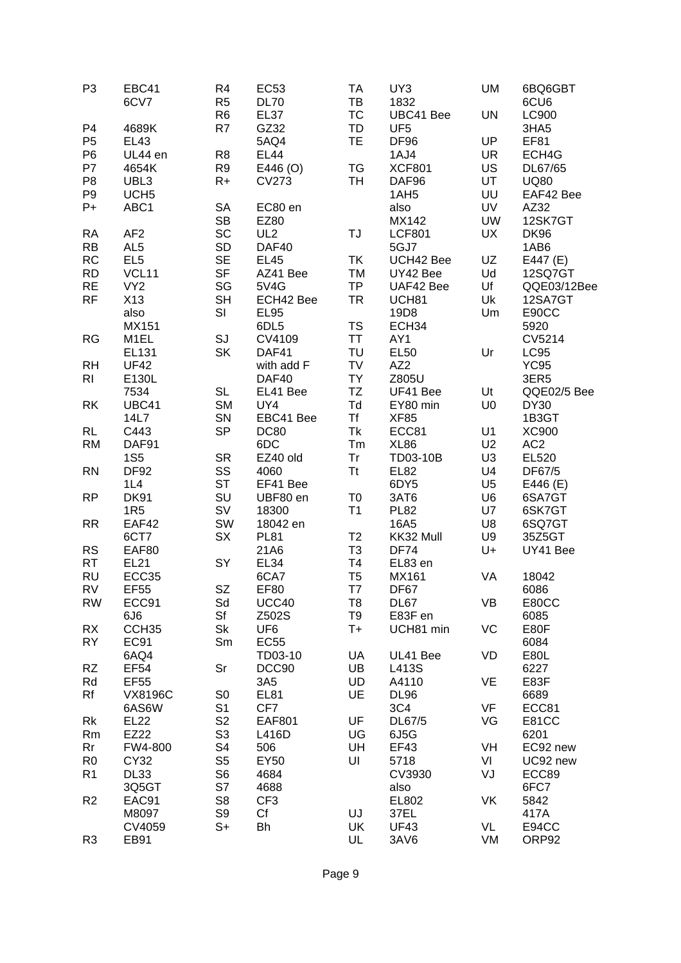| P <sub>3</sub> | EBC41<br>6CV7     | R4<br>R <sub>5</sub> | <b>EC53</b><br><b>DL70</b> | <b>TA</b><br>TB | UY3<br>1832      | UM             | 6BQ6GBT<br>6CU6 |
|----------------|-------------------|----------------------|----------------------------|-----------------|------------------|----------------|-----------------|
|                |                   | R <sub>6</sub>       | EL37                       | <b>TC</b>       | UBC41 Bee        | UN             | LC900           |
|                |                   |                      |                            |                 |                  |                |                 |
| P <sub>4</sub> | 4689K             | R7                   | GZ32                       | TD              | UF <sub>5</sub>  |                | 3HA5            |
| P <sub>5</sub> | <b>EL43</b>       |                      | 5AQ4                       | <b>TE</b>       | DF96             | UP             | <b>EF81</b>     |
| P <sub>6</sub> | UL44 en           | R <sub>8</sub>       | <b>EL44</b>                |                 | 1AJ4             | <b>UR</b>      | ECH4G           |
| P7             | 4654K             | R <sub>9</sub>       | E446 (O)                   | <b>TG</b>       | <b>XCF801</b>    | US             | DL67/65         |
| P <sub>8</sub> | UBL3              | $R+$                 | <b>CV273</b>               | <b>TH</b>       | DAF96            | UT             | <b>UQ80</b>     |
| P <sub>9</sub> | UCH <sub>5</sub>  |                      |                            |                 | 1AH <sub>5</sub> | UU             | EAF42 Bee       |
| $P+$           | ABC1              | SA                   | EC80 en                    |                 | also             | UV             | AZ32            |
|                |                   | <b>SB</b>            | EZ80                       |                 | MX142            | <b>UW</b>      | 12SK7GT         |
| <b>RA</b>      | AF <sub>2</sub>   | SC                   | UL <sub>2</sub>            | TJ              | <b>LCF801</b>    | UX             | <b>DK96</b>     |
| <b>RB</b>      | AL <sub>5</sub>   | SD                   | DAF40                      |                 | 5GJ7             |                | 1AB6            |
| <b>RC</b>      | EL <sub>5</sub>   | <b>SE</b>            | <b>EL45</b>                | TK              | UCH42 Bee        | UZ             | E447 (E)        |
| <b>RD</b>      | VCL11             | <b>SF</b>            | AZ41 Bee                   | TM              | UY42 Bee         | Ud             | 12SQ7GT         |
| <b>RE</b>      | VY <sub>2</sub>   | SG                   | 5V4G                       | <b>TP</b>       | UAF42 Bee        | Uf             | QQE03/12Bee     |
|                |                   |                      |                            |                 |                  |                |                 |
| <b>RF</b>      | X13               | <b>SH</b>            | ECH42 Bee                  | <b>TR</b>       | UCH81            | Uk             | 12SA7GT         |
|                | also              | SI                   | <b>EL95</b>                |                 | 19D8             | Um             | E90CC           |
|                | MX151             |                      | 6DL5                       | <b>TS</b>       | ECH34            |                | 5920            |
| <b>RG</b>      | M <sub>1EL</sub>  | SJ                   | CV4109                     | <b>TT</b>       | AY1              |                | CV5214          |
|                | <b>EL131</b>      | <b>SK</b>            | DAF41                      | TU              | <b>EL50</b>      | Ur             | <b>LC95</b>     |
| <b>RH</b>      | <b>UF42</b>       |                      | with add F                 | TV              | AZ <sub>2</sub>  |                | <b>YC95</b>     |
| <b>RI</b>      | E130L             |                      | DAF40                      | <b>TY</b>       | Z805U            |                | 3ER5            |
|                | 7534              | <b>SL</b>            | EL41 Bee                   | TZ              | UF41 Bee         | Ut             | QQE02/5 Bee     |
| <b>RK</b>      | UBC41             | <b>SM</b>            | UY4                        | Td              | EY80 min         | U <sub>0</sub> | <b>DY30</b>     |
|                | 14L7              | SN                   | EBC41 Bee                  | <b>Tf</b>       | <b>XF85</b>      |                | 1B3GT           |
| <b>RL</b>      | C443              | <b>SP</b>            | <b>DC80</b>                | Tk              | ECC81            | U1             | XC900           |
| <b>RM</b>      | DAF91             |                      | 6DC                        | Tm              | <b>XL86</b>      | U2             | AC <sub>2</sub> |
|                | <b>1S5</b>        | <b>SR</b>            | EZ40 old                   | Tr              | TD03-10B         | U <sub>3</sub> | EL520           |
| <b>RN</b>      | <b>DF92</b>       | SS                   | 4060                       | <b>Tt</b>       | <b>EL82</b>      | U4             | DF67/5          |
|                |                   | <b>ST</b>            |                            |                 |                  |                |                 |
|                | 1L4               |                      | EF41 Bee                   |                 | 6DY5             | U <sub>5</sub> | E446 (E)        |
| <b>RP</b>      | <b>DK91</b>       | SU                   | UBF80 en                   | T <sub>0</sub>  | 3AT6             | U <sub>6</sub> | 6SA7GT          |
|                | 1R <sub>5</sub>   | <b>SV</b>            | 18300                      | T1              | <b>PL82</b>      | U7             | 6SK7GT          |
| <b>RR</b>      | EAF42             | SW                   | 18042 en                   |                 | 16A5             | U8             | 6SQ7GT          |
|                | 6CT7              | SX                   | <b>PL81</b>                | T <sub>2</sub>  | KK32 Mull        | U9             | 35Z5GT          |
| <b>RS</b>      | EAF80             |                      | 21A6                       | T <sub>3</sub>  | <b>DF74</b>      | U+             | UY41 Bee        |
| <b>RT</b>      | <b>EL21</b>       | SY                   | EL <sub>34</sub>           | T <sub>4</sub>  | EL83 en          |                |                 |
| <b>RU</b>      | ECC35             |                      | 6CA7                       | T <sub>5</sub>  | MX161            | VA             | 18042           |
| <b>RV</b>      | <b>EF55</b>       | <b>SZ</b>            | <b>EF80</b>                | T7              | DF67             |                | 6086            |
| <b>RW</b>      | ECC91             | Sd                   | UCC40                      | T <sub>8</sub>  | DL67             | VB             | E80CC           |
|                | 6J6               | Sf                   | Z502S                      | T9              | E83F en          |                | 6085            |
| RX             | CCH <sub>35</sub> | Sk                   | UF <sub>6</sub>            | $T+$            | UCH81 min        | VC             | E80F            |
| <b>RY</b>      | <b>EC91</b>       | Sm                   | <b>EC55</b>                |                 |                  |                | 6084            |
|                | 6AQ4              |                      | TD03-10                    | UA              | UL41 Bee         | VD             | E80L            |
| <b>RZ</b>      | <b>EF54</b>       | Sr                   | DCC90                      | UB              | L413S            |                | 6227            |
| Rd             | <b>EF55</b>       |                      | 3A5                        | UD              | A4110            | VE             | E83F            |
| Rf             |                   |                      | <b>EL81</b>                | UE              | <b>DL96</b>      |                | 6689            |
|                | <b>VX8196C</b>    | S <sub>0</sub>       |                            |                 |                  |                |                 |
|                | 6AS6W             | S <sub>1</sub>       | CF7                        |                 | 3C4              | VF             | ECC81           |
| Rk             | <b>EL22</b>       | S <sub>2</sub>       | <b>EAF801</b>              | UF              | DL67/5           | VG             | <b>E81CC</b>    |
| Rm             | EZ22              | S <sub>3</sub>       | L416D                      | UG              | 6J5G             |                | 6201            |
| Rr             | FW4-800           | S4                   | 506                        | UH              | <b>EF43</b>      | VH             | EC92 new        |
| R <sub>0</sub> | CY32              | S <sub>5</sub>       | EY50                       | UI              | 5718             | VI             | UC92 new        |
| R <sub>1</sub> | DL33              | S <sub>6</sub>       | 4684                       |                 | CV3930           | VJ             | ECC89           |
|                | 3Q5GT             | S7                   | 4688                       |                 | also             |                | 6FC7            |
| R <sub>2</sub> | EAC91             | S <sub>8</sub>       | CF <sub>3</sub>            |                 | EL802            | VK             | 5842            |
|                | M8097             | S9                   | Cf                         | UJ              | 37EL             |                | 417A            |
|                | CV4059            | S+                   | Bh                         | UK              | <b>UF43</b>      | VL             | E94CC           |
| R <sub>3</sub> | EB91              |                      |                            | UL              | 3AV6             | VM             | ORP92           |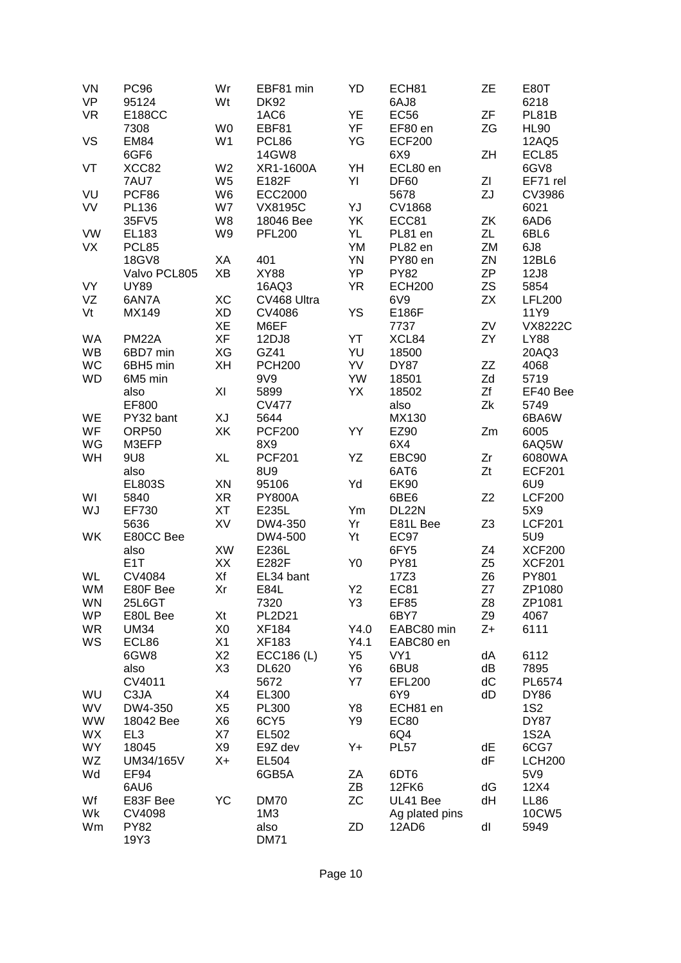| VN        | <b>PC96</b>      | Wr             | EBF81 min      | YD             | ECH81           | <b>ZE</b>      | E80T              |
|-----------|------------------|----------------|----------------|----------------|-----------------|----------------|-------------------|
| <b>VP</b> | 95124            | Wt             | <b>DK92</b>    |                | 6AJ8            |                | 6218              |
| <b>VR</b> | <b>E188CC</b>    |                | 1AC6           | YE             | <b>EC56</b>     | ZF             | PL81B             |
|           | 7308             | W <sub>0</sub> | EBF81          | YF             | EF80 en         | ZG             | <b>HL90</b>       |
| VS        | <b>EM84</b>      | W <sub>1</sub> | PCL86          | YG             | <b>ECF200</b>   |                | 12AQ5             |
|           | 6GF6             |                | 14GW8          |                | 6X9             | ZH             | ECL85             |
| VT        | XCC82            | W <sub>2</sub> | XR1-1600A      | YH             | ECL80 en        |                | 6GV8              |
|           | 7AU7             | W <sub>5</sub> | E182F          | YI             | <b>DF60</b>     | ZI             | EF71 rel          |
| VU        | PCF86            | W <sub>6</sub> | <b>ECC2000</b> |                | 5678            | ZJ             | CV3986            |
| VV        | PL136            | W7             | <b>VX8195C</b> | YJ             | <b>CV1868</b>   |                | 6021              |
|           | 35FV5            | W8             | 18046 Bee      | YK             | ECC81           | ZK             | 6AD6              |
| VW        | EL183            | W9             | <b>PFL200</b>  | YL             | PL81 en         | ZL             | 6BL6              |
| VX        | PCL85            |                |                | YM             | PL82 en         | ZM             | 6J8               |
|           | 18GV8            | XA             | 401            | <b>YN</b>      | PY80 en         | ZN             | 12BL6             |
|           | Valvo PCL805     | ΧB             | <b>XY88</b>    | YP             | <b>PY82</b>     | <b>ZP</b>      | 12J8              |
| VY        | <b>UY89</b>      |                | 16AQ3          | <b>YR</b>      | <b>ECH200</b>   | <b>ZS</b>      | 5854              |
| VZ        | 6AN7A            | XC             | CV468 Ultra    |                | 6V9             | <b>ZX</b>      | <b>LFL200</b>     |
| Vt        | MX149            | <b>XD</b>      | CV4086         | YS             | E186F           |                | 11Y9              |
|           |                  | XE             | M6EF           |                | 7737            | ZV             | <b>VX8222C</b>    |
| WA        | <b>PM22A</b>     | <b>XF</b>      | 12DJ8          | YT             | XCL84           | ZY             | <b>LY88</b>       |
| <b>WB</b> | 6BD7 min         | XG             | GZ41           | YU             | 18500           |                | 20AQ3             |
| WC        | 6BH5 min         | XH             | <b>PCH200</b>  | YV             | <b>DY87</b>     | ZZ             | 4068              |
| <b>WD</b> | 6M5 min          |                | 9V9            | YW             | 18501           | Zd             | 5719              |
|           | also             | XI             | 5899           | YX             | 18502           | Zf             | EF40 Bee          |
|           | EF800            |                | <b>CV477</b>   |                | also            | Zk             | 5749              |
| WE        | PY32 bant        | ΧJ             | 5644           |                | MX130           |                | 6BA6W             |
| WF        | ORP50            | XK             | <b>PCF200</b>  | YY             | EZ90            | Zm             | 6005              |
| WG        | M3EFP            |                | 8X9            |                | 6X4             |                | 6AQ5W             |
| WH        | 9U8              | XL             | <b>PCF201</b>  | YΖ             | EBC90           | Zr             | 6080WA            |
|           | also             |                | <b>8U9</b>     |                | 6AT6            | Zt             | <b>ECF201</b>     |
|           | <b>EL803S</b>    | XN             | 95106          | Yd             | <b>EK90</b>     |                | 6U <sub>9</sub>   |
| WI        | 5840             | <b>XR</b>      | <b>PY800A</b>  |                | 6BE6            | Z2             | <b>LCF200</b>     |
| WJ        | EF730            | XT             | E235L          | Ym             | DL22N           |                | 5X9               |
|           | 5636             | XV             | DW4-350        | Yr             | E81L Bee        | Z <sub>3</sub> | <b>LCF201</b>     |
| WK        | E80CC Bee        |                | DW4-500        | Yt             | <b>EC97</b>     |                | 5U9               |
|           | also             | XW             | E236L          |                | 6FY5            | Z4             | <b>XCF200</b>     |
|           | E <sub>1</sub> T | XX             | E282F          | Y <sub>0</sub> | <b>PY81</b>     | Z <sub>5</sub> | <b>XCF201</b>     |
| WL        | CV4084           | Xf             | EL34 bant      |                | 17Z3            | Z <sub>6</sub> | PY801             |
| <b>WM</b> | E80F Bee         | Xr             | E84L           | Y2             | <b>EC81</b>     | Z7             | ZP1080            |
| <b>WN</b> | 25L6GT           |                | 7320           | Y3             | <b>EF85</b>     | Z <sub>8</sub> | ZP1081            |
| <b>WP</b> | E80L Bee         | Xt             | <b>PL2D21</b>  |                | 6BY7            | Z9             | 4067              |
| <b>WR</b> | <b>UM34</b>      | X <sub>0</sub> | <b>XF184</b>   | Y4.0           | EABC80 min      | $Z+$           | 6111              |
| WS        | ECL86            | X1             | <b>XF183</b>   | Y4.1           | EABC80 en       |                |                   |
|           | 6GW8             | X2             | $ECC186$ (L)   | Y5             | VY <sub>1</sub> | dA             | 6112              |
|           | also             | X <sub>3</sub> | <b>DL620</b>   | Y6             | 6BU8            | dB             | 7895              |
|           | CV4011           |                | 5672           | Y7             | <b>EFL200</b>   | dC             | PL6574            |
| WU        | C3JA             | X4             | EL300          |                | 6Y <sub>9</sub> | dD             | <b>DY86</b>       |
| WV        | DW4-350          | X <sub>5</sub> | PL300          | Y8             | ECH81 en        |                | <b>1S2</b>        |
| <b>WW</b> | 18042 Bee        | X <sub>6</sub> | 6CY5           | Y9             | <b>EC80</b>     |                | <b>DY87</b>       |
| <b>WX</b> | EL <sub>3</sub>  | X7             | EL502          |                | 6Q4             |                | 1S <sub>2</sub> A |
| <b>WY</b> | 18045            | X9             | E9Z dev        | Y+             | <b>PL57</b>     | dE             | 6CG7              |
| WZ        | UM34/165V        | X+             | EL504          |                |                 | dF             | <b>LCH200</b>     |
| Wd        | EF94             |                | 6GB5A          | ΖA             | 6DT6            |                | 5V9               |
|           | 6AU6             |                |                | ZB             | <b>12FK6</b>    | dG             | 12X4              |
| Wf        | E83F Bee         | YC             | <b>DM70</b>    | <b>ZC</b>      | UL41 Bee        | dH             | LL86              |
| Wk        | <b>CV4098</b>    |                | 1M3            |                | Ag plated pins  |                | 10CW <sub>5</sub> |
| Wm        | <b>PY82</b>      |                | also           | ZD             | 12AD6           | dl             | 5949              |
|           | 19Y3             |                | <b>DM71</b>    |                |                 |                |                   |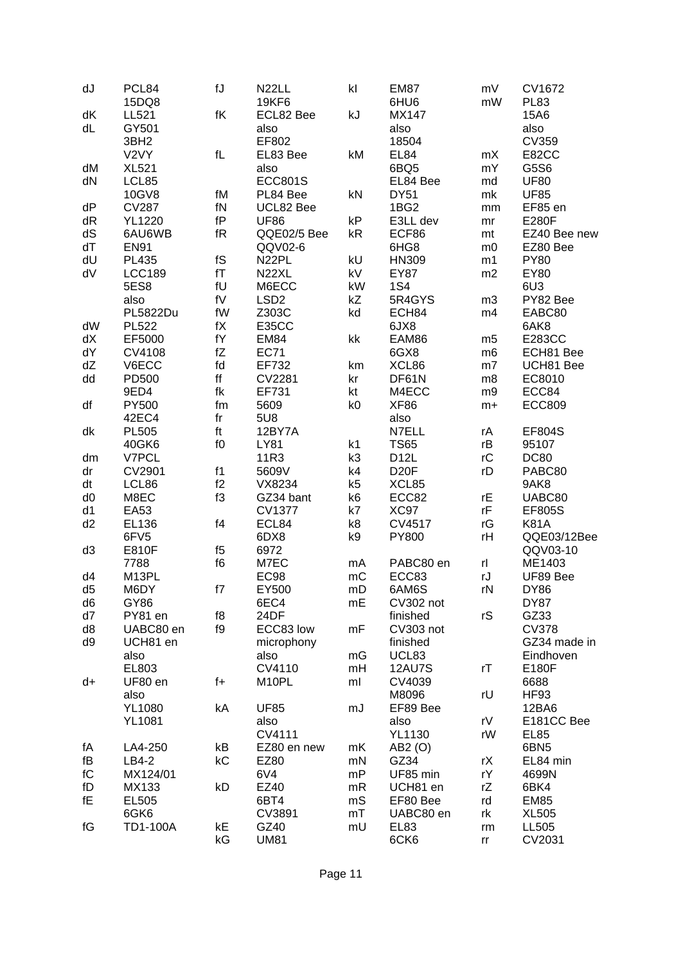| dJ                     | PCL84             | $\operatorname{\mathsf{fJ}}$ | N <sub>22LL</sub>  | k              | <b>EM87</b>       | mV             | CV1672           |
|------------------------|-------------------|------------------------------|--------------------|----------------|-------------------|----------------|------------------|
|                        | 15DQ8             |                              | <b>19KF6</b>       |                | 6HU6              | mW             | <b>PL83</b>      |
| dK                     | LL521             | $\sf f K$                    | ECL82 Bee          | kJ             | <b>MX147</b>      |                | 15A6             |
| dL                     | GY501             |                              | also               |                | also              |                | also             |
|                        | 3BH <sub>2</sub>  |                              | EF802              |                | 18504             |                | <b>CV359</b>     |
|                        | V <sub>2</sub> VY | $\sf{f}$                     | EL83 Bee           | kM             | EL84              | mX             | E82CC            |
| dM                     | <b>XL521</b>      |                              | also               |                | 6BQ5              | mY             | G5S6             |
| dN                     | LCL85             |                              | <b>ECC801S</b>     |                | EL84 Bee          | md             | <b>UF80</b>      |
|                        | 10GV8             | fM                           | PL84 Bee           | kN             | <b>DY51</b>       | mk             | <b>UF85</b>      |
| dP                     | <b>CV287</b>      | fN                           | UCL82 Bee          |                | 1BG <sub>2</sub>  | mm             | EF85 en          |
| dR                     | <b>YL1220</b>     | fP                           | <b>UF86</b>        | kP             | E3LL dev          | mr             | <b>E280F</b>     |
| dS                     | 6AU6WB            | fR                           | QQE02/5 Bee        | kR             | ECF86             | mt             | EZ40 Bee new     |
| dT                     | <b>EN91</b>       |                              | QQV02-6            |                | 6HG8              | m <sub>0</sub> | EZ80 Bee         |
| dU                     | PL435             | ${\sf f}{\sf S}$             | N <sub>22</sub> PL | kU             | HN309             | m1             | <b>PY80</b>      |
| dV                     | <b>LCC189</b>     | fT                           | N <sub>22</sub> XL | kV             | <b>EY87</b>       | m2             | EY80             |
|                        | 5ES8              | $\mathsf{f}\mathsf{U}$       | M6ECC              | kW             | <b>1S4</b>        |                | 6U3              |
|                        | also              | ${\sf f}{\sf V}$             | LSD <sub>2</sub>   | kZ             | 5R4GYS            | m3             | PY82 Bee         |
|                        | PL5822Du          | fW                           | Z303C              | kd             | ECH84             | m4             | EABC80           |
| dW                     | <b>PL522</b>      | fX                           | <b>E35CC</b>       |                | 6JX8              |                | 6AK8             |
| dX                     | EF5000            | $\mathsf{f}\mathsf{Y}$       | <b>EM84</b>        | kk             | EAM86             | m <sub>5</sub> | <b>E283CC</b>    |
| dY                     | CV4108            | fZ                           | <b>EC71</b>        |                | 6GX8              | m <sub>6</sub> | ECH81 Bee        |
| dZ                     | V6ECC             | fd                           | EF732              | km             | XCL86             | m <sub>7</sub> | UCH81 Bee        |
| dd                     | PD500             | $\mathsf{ff}$                | CV2281             | kr             | DF61N             | m8             | EC8010           |
|                        | 9ED4              | fk                           | EF731              | kt             | M4ECC             | m9             | ECC84            |
| df                     | PY500             | fm                           | 5609               | k0             | XF86              | $m+$           | <b>ECC809</b>    |
|                        | 42EC4             | fr                           | 5U8                |                | also              |                |                  |
| dk                     | <b>PL505</b>      | ft                           | 12BY7A             |                | N7ELL             | rA             | <b>EF804S</b>    |
|                        | 40GK6             | f <sub>0</sub>               | <b>LY81</b>        | k <sub>1</sub> | <b>TS65</b>       | rB             | 95107            |
| dm                     | V7PCL             |                              | 11R3               | k3             | D <sub>12</sub> L | rC             | <b>DC80</b>      |
| dr                     | CV2901            | f1                           | 5609V              | k4             | D <sub>20</sub> F | rD             | PABC80           |
| dt                     | LCL86             | f2                           | VX8234             | k <sub>5</sub> | XCL85             |                | 9AK8             |
| d <sub>0</sub>         | M8EC              | f3                           | GZ34 bant          | k <sub>6</sub> | ECC82             | rE             | UABC80           |
| d1                     | <b>EA53</b>       |                              | <b>CV1377</b>      | k7             | XC97              | rF             | <b>EF805S</b>    |
| d2                     | EL136             | f4                           | ECL84              | k8             | CV4517            | rG             | <b>K81A</b>      |
|                        | 6FV5              |                              | 6DX8               | k9             | <b>PY800</b>      | rH             | QQE03/12Bee      |
| d3                     | E810F             | f5                           | 6972               |                |                   |                | QQV03-10         |
|                        | 7788              | f6                           | M7EC               | mA             | PABC80 en         | rl             | ME1403           |
| d4                     | M13PL             |                              | <b>EC98</b>        | mC             | ECC83             | rJ             | UF89 Bee         |
| d <sub>5</sub>         | M6DY              | f7                           | EY500              | mD             | 6AM6S             | rN             | <b>DY86</b>      |
| d6                     | GY86              |                              | 6EC4               | mE             | CV302 not         |                | DY87             |
| d7                     | PY81 en           | f8                           | 24DF               |                | finished          | rS             | GZ33             |
| d8                     | UABC80 en         | f9                           | ECC83 low          | mF             | CV303 not         |                | <b>CV378</b>     |
| d9                     | UCH81 en          |                              | microphony         |                | finished          |                | GZ34 made in     |
|                        | also              |                              | also               | mG             | UCL83             |                | Eindhoven        |
|                        | EL803             |                              | CV4110             | mH             | <b>12AU7S</b>     | rT             | E180F            |
| d+                     | UF80 en           | $f +$                        | M10PL              | ml             | CV4039            |                | 6688             |
|                        | also              |                              |                    |                | M8096             | rU             | <b>HF93</b>      |
|                        | <b>YL1080</b>     | kA                           | <b>UF85</b>        | mJ             | EF89 Bee          |                | 12BA6            |
|                        | <b>YL1081</b>     |                              | also               |                | also              | rV             | E181CC Bee       |
|                        |                   |                              | CV4111             |                | <b>YL1130</b>     | rW             | EL85             |
| fА                     | LA4-250           | kB                           | EZ80 en new        | mK             | AB2 (O)           |                | 6BN <sub>5</sub> |
| fB                     | LB4-2             | kC                           | EZ80               | mN             | GZ34              | rX             | EL84 min         |
| $\mathsf{f}\mathsf{C}$ | MX124/01          |                              | 6V4                | mP             | UF85 min          | rY             | 4699N            |
| fD                     | MX133             | kD                           | EZ40               | mR             | UCH81 en          | rZ             | 6BK4             |
| fE                     | EL505             |                              | 6BT4               | mS             | EF80 Bee          | rd             | <b>EM85</b>      |
|                        | 6GK6              |                              | CV3891             | mT             | UABC80 en         | rk             | <b>XL505</b>     |
| fG                     | <b>TD1-100A</b>   | kE                           | GZ40               | mU             | <b>EL83</b>       | rm             | LL505            |
|                        |                   | kG                           | <b>UM81</b>        |                | 6CK6              | rr             | CV2031           |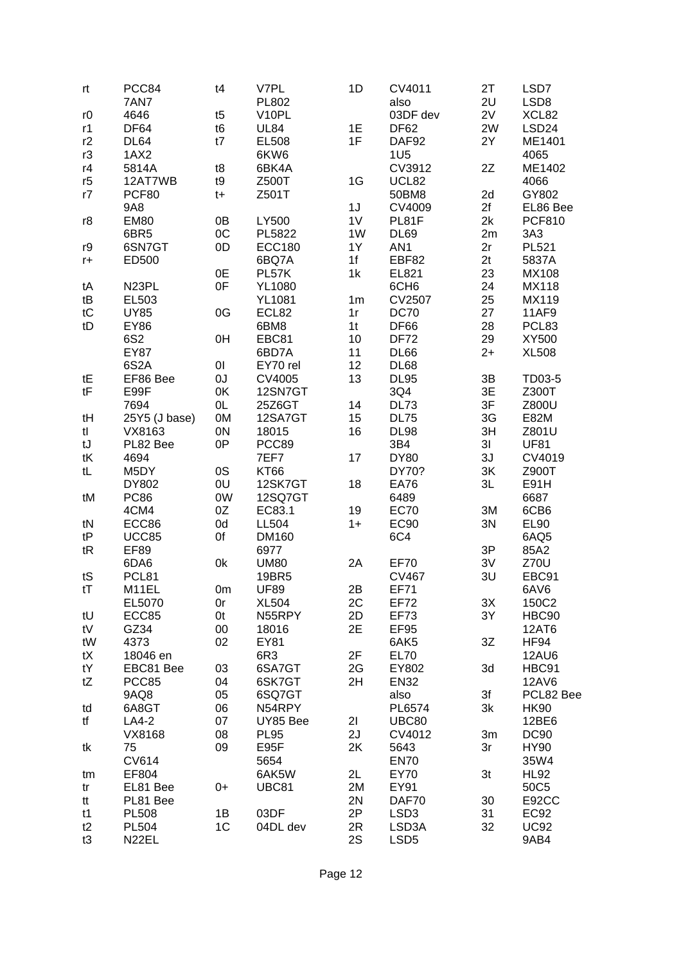| rt   | PCC84              | t4             | V7PL            | 1D             | CV4011           | 2T             | LSD7              |
|------|--------------------|----------------|-----------------|----------------|------------------|----------------|-------------------|
|      | 7AN7               |                | PL802           |                | also             | 2U             | LSD8              |
| r0   | 4646               | t5             | V10PL           |                | 03DF dev         | 2V             | XCL82             |
| r1   | DF64               | t6             | <b>UL84</b>     | 1E             | DF62             | 2W             | LSD <sub>24</sub> |
| r2   | DL64               | t7             | EL508           | 1F             | DAF92            | 2Y             | ME1401            |
|      |                    |                |                 |                |                  |                |                   |
| r3   | 1AX2               |                | 6KW6            |                | 1U <sub>5</sub>  |                | 4065              |
| r4   | 5814A              | t8             | 6BK4A           |                | CV3912           | 2Z             | ME1402            |
| r5   | 12AT7WB            | t9             | Z500T           | 1G             | UCL82            |                | 4066              |
| r7   | PCF80              | $t+$           | Z501T           |                | 50BM8            | 2d             | GY802             |
|      | 9A8                |                |                 | 1J             | CV4009           | 2f             | EL86 Bee          |
| r8   | <b>EM80</b>        | 0B             | LY500           | 1 <sub>V</sub> | PL81F            | 2k             | <b>PCF810</b>     |
|      | 6BR5               | OC             | PL5822          | 1W             | <b>DL69</b>      | 2m             | 3A3               |
| r9   | 6SN7GT             | 0D             | <b>ECC180</b>   | 1Y             | AN1              | 2r             | PL521             |
|      |                    |                |                 | 1f             | EBF82            | 2t             |                   |
| $r+$ | ED500              |                | 6BQ7A           |                |                  |                | 5837A             |
|      |                    | 0E             | PL57K           | 1k             | EL821            | 23             | MX108             |
| tA   | N <sub>23</sub> PL | 0F             | <b>YL1080</b>   |                | 6CH <sub>6</sub> | 24             | <b>MX118</b>      |
| tB   | EL503              |                | <b>YL1081</b>   | 1 <sub>m</sub> | <b>CV2507</b>    | 25             | MX119             |
| tC   | <b>UY85</b>        | 0G             | ECL82           | 1r             | <b>DC70</b>      | 27             | 11AF9             |
| tD   | <b>EY86</b>        |                | 6BM8            | 1 <sub>t</sub> | DF66             | 28             | PCL83             |
|      | 6S2                | 0H             | EBC81           | 10             | <b>DF72</b>      | 29             | XY500             |
|      | <b>EY87</b>        |                | 6BD7A           | 11             | <b>DL66</b>      | $2+$           | <b>XL508</b>      |
|      | 6S <sub>2</sub> A  | $\overline{0}$ | EY70 rel        | 12             | DL68             |                |                   |
| tE   | EF86 Bee           | UO             | CV4005          | 13             | <b>DL95</b>      | 3B             | TD03-5            |
| tF   |                    |                | 12SN7GT         |                |                  |                | Z300T             |
|      | E99F               | 0K             |                 |                | 3Q4              | 3E             |                   |
|      | 7694               | 0L             | 25Z6GT          | 14             | <b>DL73</b>      | 3F             | Z800U             |
| tH   | 25Y5 (J base)      | 0M             | 12SA7GT         | 15             | <b>DL75</b>      | 3G             | E82M              |
| tl   | VX8163             | 0N             | 18015           | 16             | <b>DL98</b>      | 3H             | Z801U             |
| tJ   | PL82 Bee           | 0P             | PCC89           |                | 3B4              | 3 <sup>1</sup> | <b>UF81</b>       |
| tK   | 4694               |                | 7EF7            | 17             | <b>DY80</b>      | 3J             | CV4019            |
| tL   | M5DY               | 0S             | <b>KT66</b>     |                | DY70?            | 3K             | Z900T             |
|      | DY802              | 0U             | 12SK7GT         | 18             | <b>EA76</b>      | 3L             | E91H              |
| tM   | <b>PC86</b>        | 0W             | <b>12SQ7GT</b>  |                | 6489             |                | 6687              |
|      | 4CM4               | 0Z             | EC83.1          | 19             | <b>EC70</b>      | 3M             | 6CB6              |
| tN   | ECC86              | 0d             | <b>LL504</b>    | $1+$           | <b>EC90</b>      | 3N             | <b>EL90</b>       |
| tP   |                    | 0f             |                 |                |                  |                |                   |
|      | <b>UCC85</b>       |                | DM160           |                | 6C4              |                | 6AQ5              |
| tR   | <b>EF89</b>        |                | 6977            |                |                  | 3P             | 85A2              |
|      | 6DA6               | 0k             | <b>UM80</b>     | 2A             | <b>EF70</b>      | 3V             | <b>Z70U</b>       |
| tS   | PCL81              |                | 19BR5           |                | <b>CV467</b>     | 3U             | EBC91             |
| tT   | M11EL              | 0 <sub>m</sub> | <b>UF89</b>     | 2B             | <b>EF71</b>      |                | 6AV6              |
|      | EL5070             | 0r             | <b>XL504</b>    | 2C             | <b>EF72</b>      | 3X             | 150C2             |
| tU   | ECC85              | 0t             | N55RPY          | 2D             | <b>EF73</b>      | 3Y             | HBC90             |
| tV   | GZ34               | $00\,$         | 18016           | 2E             | EF95             |                | <b>12AT6</b>      |
| tW   | 4373               | 02             | EY81            |                | 6AK5             | 3Z             | <b>HF94</b>       |
| tX   | 18046 en           |                | 6R <sub>3</sub> | 2F             | <b>EL70</b>      |                | 12AU6             |
| tY   | EBC81 Bee          | 03             | 6SA7GT          | 2G             | EY802            | 3d             | HBC91             |
|      | PCC85              |                | 6SK7GT          | 2H             | <b>EN32</b>      |                | 12AV6             |
| tZ   |                    | 04             |                 |                |                  |                |                   |
|      | 9AQ8               | 05             | 6SQ7GT          |                | also             | 3f             | PCL82 Bee         |
| td   | 6A8GT              | 06             | N54RPY          |                | PL6574           | 3k             | <b>HK90</b>       |
| tf   | LA4-2              | 07             | UY85 Bee        | 21             | <b>UBC80</b>     |                | 12BE6             |
|      | VX8168             | 08             | <b>PL95</b>     | 2J             | CV4012           | 3m             | <b>DC90</b>       |
| tk   | 75                 | 09             | E95F            | 2K             | 5643             | 3r             | <b>HY90</b>       |
|      | CV614              |                | 5654            |                | <b>EN70</b>      |                | 35W4              |
| tm   | EF804              |                | 6AK5W           | 2L             | EY70             | 3t             | <b>HL92</b>       |
| tr   | EL81 Bee           | $0+$           | <b>UBC81</b>    | 2M             | EY91             |                | 50C5              |
| tt   | PL81 Bee           |                |                 | 2N             | DAF70            | 30             | E92CC             |
|      |                    |                |                 |                |                  |                |                   |
| t1   | <b>PL508</b>       | 1B             | 03DF            | 2P             | LSD <sub>3</sub> | 31             | EC92              |
| t2   | <b>PL504</b>       | 1C             | 04DL dev        | 2R             | LSD3A            | 32             | <b>UC92</b>       |
| t3   | N <sub>22</sub> EL |                |                 | 2S             | LSD <sub>5</sub> |                | 9AB4              |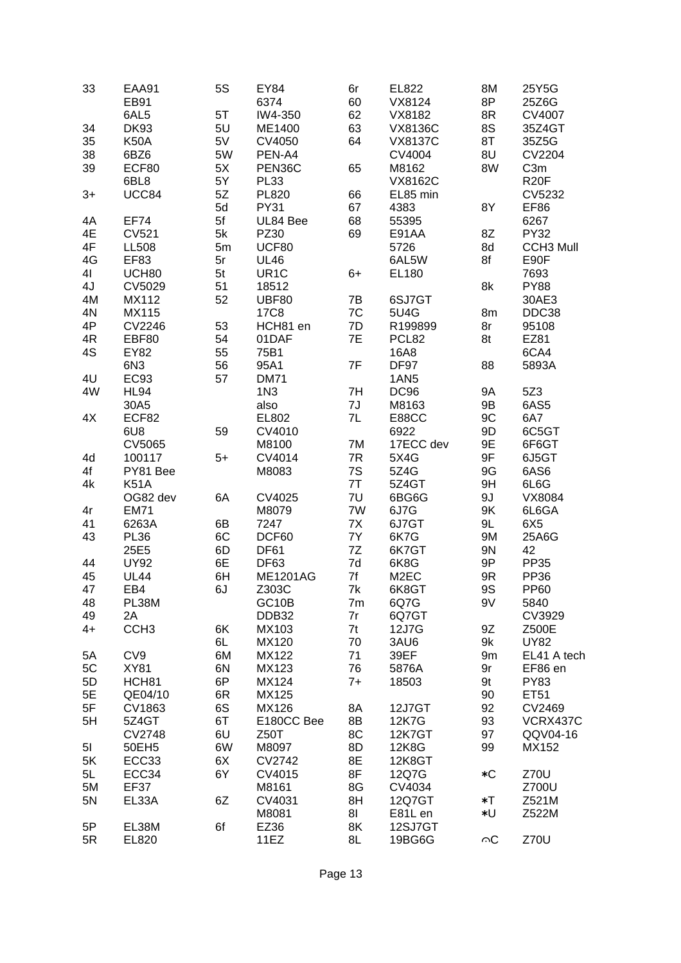| 33   | <b>EAA91</b>     | 5S             | EY84              | 6r   | EL822             | 8M        | 25Y5G            |  |
|------|------------------|----------------|-------------------|------|-------------------|-----------|------------------|--|
|      | <b>EB91</b>      |                | 6374              | 60   | VX8124            | 8P        | 25Z6G            |  |
|      | 6AL5             | 5T             | IW4-350           | 62   | VX8182            | 8R        | CV4007           |  |
| 34   | <b>DK93</b>      | 5U             | ME1400            | 63   | <b>VX8136C</b>    | 8S        | 35Z4GT           |  |
| 35   | <b>K50A</b>      | 5V             | CV4050            | 64   | <b>VX8137C</b>    | 8T        | 35Z5G            |  |
| 38   | 6BZ6             | 5W             | PEN-A4            |      | CV4004            | 8U        | <b>CV2204</b>    |  |
| 39   | ECF80            | 5X             | PEN36C            | 65   | M8162             | 8W        | C <sub>3m</sub>  |  |
|      | 6BL8             | 5Y             | <b>PL33</b>       |      | <b>VX8162C</b>    |           | <b>R20F</b>      |  |
| $3+$ | UCC84            | 5Z             | <b>PL820</b>      | 66   | EL85 min          |           | CV5232           |  |
|      |                  | 5d             | <b>PY31</b>       | 67   | 4383              | 8Y        | <b>EF86</b>      |  |
| 4A   | <b>EF74</b>      | 5f             | UL84 Bee          | 68   | 55395             |           | 6267             |  |
| 4E   | <b>CV521</b>     | 5k             |                   | 69   |                   | 8Z        | <b>PY32</b>      |  |
|      |                  |                | PZ30              |      | E91AA             |           |                  |  |
| 4F   | <b>LL508</b>     | 5m             | UCF80             |      | 5726              | 8d        | <b>CCH3 Mull</b> |  |
| 4G   | EF83             | 5r             | <b>UL46</b>       |      | 6AL5W             | 8f        | E90F             |  |
| 41   | UCH80            | 5 <sub>t</sub> | UR <sub>1</sub> C | 6+   | EL180             |           | 7693             |  |
| 4J   | CV5029           | 51             | 18512             |      |                   | 8k        | <b>PY88</b>      |  |
| 4M   | MX112            | 52             | <b>UBF80</b>      | 7B   | 6SJ7GT            |           | 30AE3            |  |
| 4N   | MX115            |                | <b>17C8</b>       | 7C   | 5U4G              | 8m        | DDC38            |  |
| 4P   | CV2246           | 53             | HCH81 en          | 7D   | R199899           | 8r        | 95108            |  |
| 4R   | <b>EBF80</b>     | 54             | 01DAF             | 7E   | PCL82             | 8t        | EZ81             |  |
| 4S   | <b>EY82</b>      | 55             | 75B1              |      | 16A8              |           | 6CA4             |  |
|      | 6N3              | 56             | 95A1              | 7F   | DF97              | 88        | 5893A            |  |
| 4U   | <b>EC93</b>      | 57             | <b>DM71</b>       |      | 1AN <sub>5</sub>  |           |                  |  |
| 4W   | HL94             |                | 1N3               | 7H   | <b>DC96</b>       | <b>9A</b> | 5Z3              |  |
|      | 30A5             |                | also              | 7J   | M8163             | 9B        | 6AS5             |  |
| 4X   | ECF82            |                | EL802             | 7L   | <b>E88CC</b>      | 9C        | 6A7              |  |
|      | 6U8              | 59             | CV4010            |      | 6922              | 9D        | 6C5GT            |  |
|      | <b>CV5065</b>    |                | M8100             | 7M   | 17ECC dev         | 9E        | 6F6GT            |  |
| 4d   | 100117           | $5+$           | CV4014            | 7R   | 5X4G              | 9F        | 6J5GT            |  |
| 4f   | PY81 Bee         |                | M8083             | 7S   | 5Z4G              | 9G        | 6AS6             |  |
| 4k   | <b>K51A</b>      |                |                   | 7T   | 5Z4GT             | 9H        | 6L6G             |  |
|      | OG82 dev         | 6A             | CV4025            | 7U   | 6BG6G             | 9J        | VX8084           |  |
| 4r   | <b>EM71</b>      |                | M8079             | 7W   | 6J7G              | 9K        | 6L6GA            |  |
| 41   | 6263A            | 6B             | 7247              | 7X   | 6J7GT             | 9L        | 6X5              |  |
| 43   | <b>PL36</b>      | 6C             | DCF60             | 7Y   | 6K7G              | 9M        | 25A6G            |  |
|      | 25E5             | 6D             | <b>DF61</b>       | 7Z   | 6K7GT             | 9N        | 42               |  |
| 44   | <b>UY92</b>      | 6E             | <b>DF63</b>       | 7d   | 6K8G              | 9P        | PP35             |  |
| 45   | <b>UL44</b>      | 6H             | <b>ME1201AG</b>   | 7f   | M <sub>2</sub> EC | 9R        | PP36             |  |
| 47   | EB4              | 6J             | Z303C             | 7k   | 6K8GT             | <b>9S</b> | <b>PP60</b>      |  |
| 48   | PL38M            |                | GC10B             | 7m   | 6Q7G              | 9V        | 5840             |  |
| 49   | 2A               |                | DDB32             | 7r   | 6Q7GT             |           | CV3929           |  |
| $4+$ | CCH <sub>3</sub> | 6K             | MX103             | 7t   | 12J7G             | 9Z        | Z500E            |  |
|      |                  | 6L             | MX120             | 70   | 3AU6              | 9k        | <b>UY82</b>      |  |
| 5A   | CV9              | 6M             | MX122             | 71   | 39EF              | 9m        | EL41 A tech      |  |
| 5C   | <b>XY81</b>      | 6N             | MX123             | 76   | 5876A             | 9r        | EF86 en          |  |
| 5D   | HCH81            | 6P             | MX124             | $7+$ | 18503             | 9t        | <b>PY83</b>      |  |
| 5E   | QE04/10          | 6R             | MX125             |      |                   | 90        | ET51             |  |
| 5F   | CV1863           | 6S             | MX126             | 8A   | 12J7GT            | 92        | CV2469           |  |
| 5H   | 5Z4GT            | 6T             | E180CC Bee        | 8B   | 12K7G             | 93        | VCRX437C         |  |
|      | <b>CV2748</b>    | 6U             | Z50T              | 8C   | <b>12K7GT</b>     | 97        | QQV04-16         |  |
| 51   | 50EH5            | 6W             | M8097             | 8D   | 12K8G             | 99        | MX152            |  |
| 5K   | ECC33            | 6X             | CV2742            | 8E   | 12K8GT            |           |                  |  |
|      |                  |                |                   | 8F   |                   |           |                  |  |
| 5L   | ECC34            | 6Y             | CV4015            |      | 12Q7G             | $*C$      | Z70U             |  |
| 5M   | EF37             |                | M8161             | 8G   | CV4034            |           | Z700U            |  |
| 5N   | EL33A            | 6Z             | CV4031            | 8H   | 12Q7GT            | $\ast$ T  | Z521M            |  |
|      |                  |                | M8081             | 81   | E81L en           | *U        | Z522M            |  |
| 5P   | EL38M            | 6f             | EZ36              | 8K   | 12SJ7GT           |           |                  |  |
| 5R   | EL820            |                | 11EZ              | 8L   | 19BG6G            | $\circ$ C | Z70U             |  |